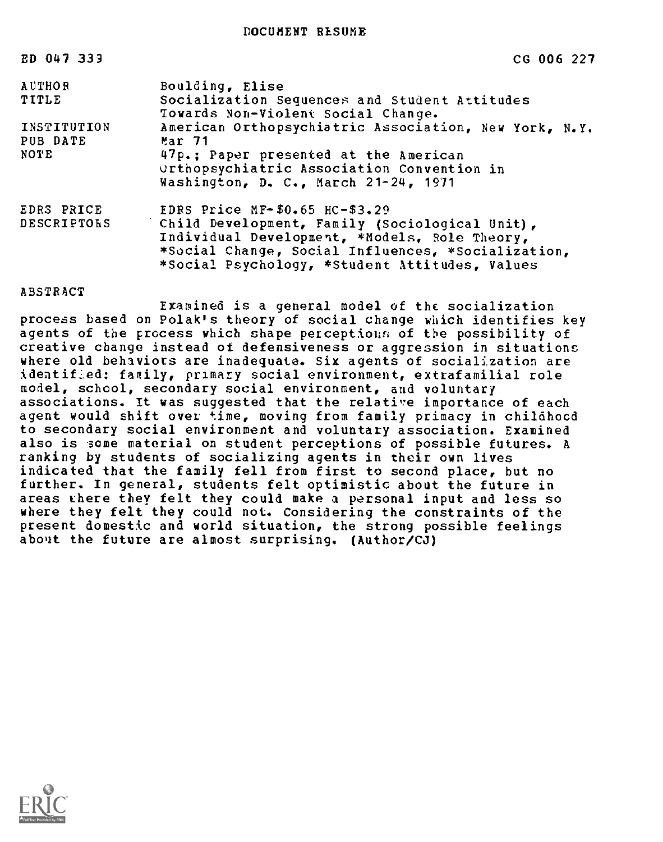DOCUMENT RESUME

| ED 047 339  | CG 006 227                                            |
|-------------|-------------------------------------------------------|
| AUTHOR      | Boulding, Elise                                       |
| TITLE       | Socialization Sequences and Student Attitudes         |
|             | Towards Non-Violent Social Change.                    |
| INSTITUTION | American Orthopsychiatric Association, New York, N.Y. |
| PUB DATE    | $Mar$ 71                                              |
| NOTE        | 47p.: Paper presented at the American                 |
|             | Orthopsychiatric Association Convention in            |
|             | Washington, D. C., March 21-24, 1971                  |
| EDRS PRICE  | EDRS Price $MF-$0.65$ HC-\$3.29                       |
| DESCRIPTORS | Child Development, Family (Sociological Unit),        |
|             | Individual Development, *Models, Role Theory,         |
|             | *Social Change, Social Influences, *Socialization,    |
|             | *Social Psychology, *Student Attitudes, Values        |

### ABSTRACT

Examined is a general model of the socialization process based on Polak's theory of social change which identifies key agents of the process which shape perceptions of the possibility of creative change instead of defensiveness or aggression in situations where old behaviors are inadequate. Six agents of socialization are identified; fartily, primary social environment, extrafamilial role model, school, secondary social environment, and voluntary associations. It was suggested that the relative importance of each agent would shift over time, moving from family primacy in chilahood to secondary social environment and voluntary association. Examined also is some material on student perceptions of possible futures. A ranking by students of socializing agents in their own lives indicated that the family fell from first to second place, but no further. In general, students felt optimistic about the future in areas chere they felt they could make a personal input and less so where they felt they could not. Considering the constraints of the present domestic and world situation, the strong possible feelings about the future are almost surprising. (Author/CJ)

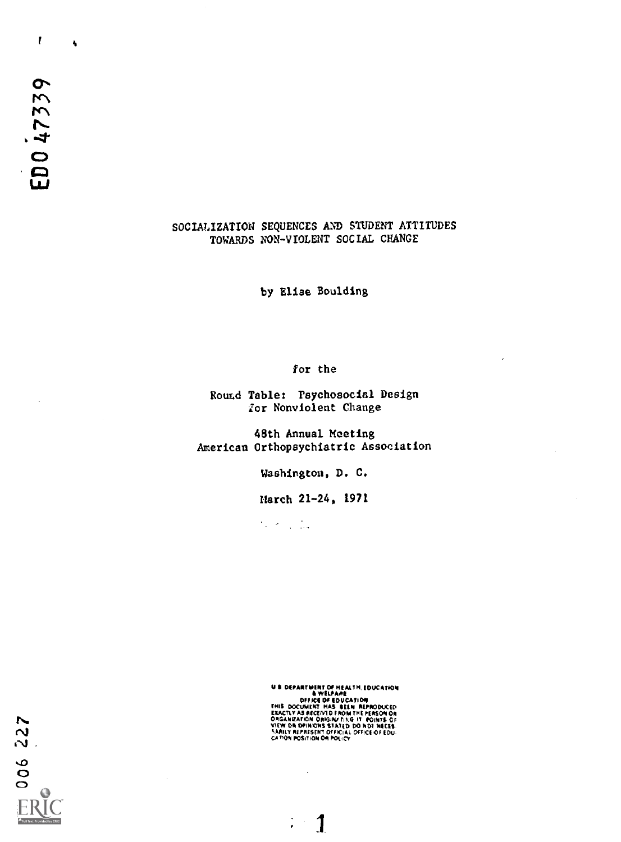$\mathbf{r}$ 

 $\ddot{\bullet}$ 

# SOCIALIZATION SEQUENCES AND STUDENT ATTITUDES TOWARDS NON-VIOLENT SOCIAL CHANGE

by Elise Goulding

for the

Round Table: Psychosocial Design for Nonviolent Change

48th Annual Meeting American Orthopaychiatric Association

Washington, D. C.

March 21-24, 1971

 $\mathcal{L}_{\rm{max}}$  , and  $\mathcal{L}_{\rm{max}}$ 

 $\overline{a}$ 

1

- DEFICE OF BUCATION<br>THIS DOCUMENT HAS BEEN REPRODUCED<br>EXACTLY AS RECEIVID FROM THE FERSON OR<br>ORGANIZATION ONGINUTING IT POINTS OF<br>SARILY REPRESENT OFFICIAL OFFICE OF EDU.<br>CATION POSITION OR POLICY<br>CATION POSITION OR POLIC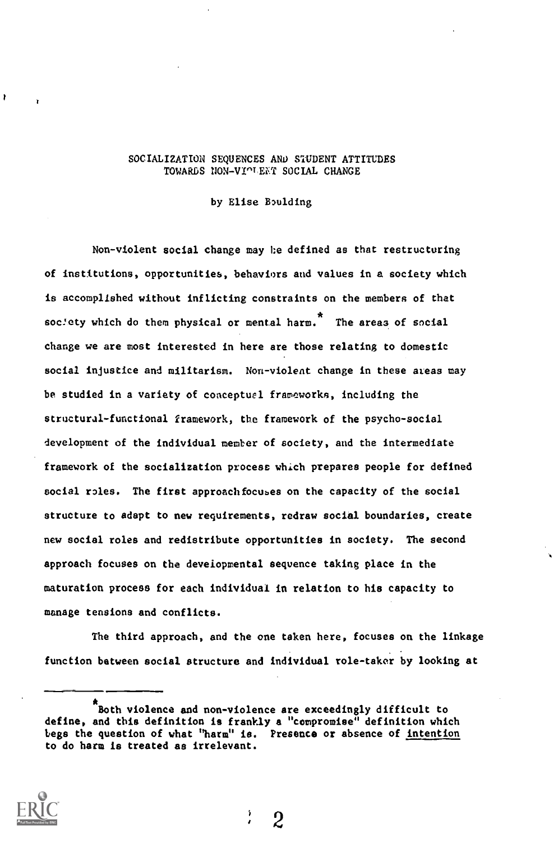# SOCIALIZATION SEQUENCES AND STUDENT ATTITUDES TOWARDS NON-VIOLENT SOCIAL CHANGE

by Elise Boulding

Non-violent social change may be defined as that restructuring of institutions, opportunities, behaviors and values in a society which is accomplished without inflicting constraints on the members of that society which do them physical or mental harm.<sup>7</sup> The areas of social change we are most interested in here are those relating to domestic social injustice and militarism. Non-violent change in these ateas may be studied in a variety of conceptual frameworks, including the structural-functional framework, the framework of the psycho-social development of the individual member of society, and the intermediate framework of the socialization process which prepares people for defined social roles. The first approach focuses on the capacity of the social structure to adapt to new requirements, redraw social boundaries, create new social roles and redistribute opportunities in society. The second approach focuses on the developmental sequence taking place in the maturation process for each individual in relation to his capacity to manage tensions and conflicts.

The third approach, and the one taken here, focuses on the linkage function between social structure and individual role-taker by looking at

Both violence and non-violence are exceedingly difficult to define, and this definition is frankly a "compromise" definition which begs the question of what "harm" is. Presence or absence of intention to do harm is treated as irrelevant.



ł

2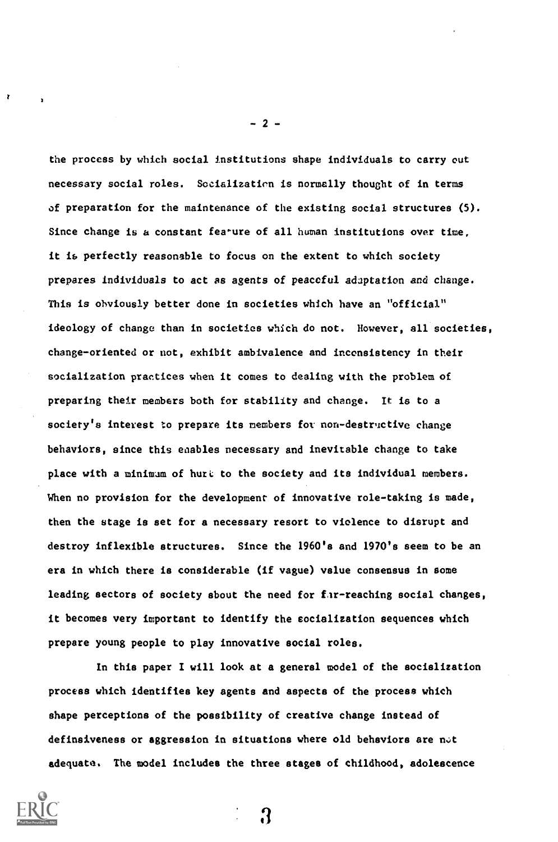the process by which social institutions shape individuals to carry out necessary social roles. Socialization is normally thought of in terms of preparation for the maintenance of the existing social structures (5). Since change is a constant fea'ure of all human institutions over time, it is perfectly reasonable to focus on the extent to which society prepares individuals to act as agents of peaceful adaptation and change. This is obviously better done in societies which have an "official" ideology of change than in societies which do not. However, all societies, change-oriented or not, exhibit ambivalence and inconsistency in their socialization practices when it comes to dealing with the problem of preparing their members both for stability and change. It is to a society's interest to prepare its members for non-destructive change behaviors, since this enables necessary and inevitable change to take place with a minimum of hurt to the society and its individual members. When no provision for the development of innovative role-taking is made, then the stage is set for a necessary resort to violence to disrupt and destroy inflexible structures. Since the 1960's and 1970's seem to be an era in which there is considerable (if vague) value consensus in some leading sectors of society sbout the need for fir-reaching social changes, it becomes very important to identify the socialization sequences which prepare young people to play innovative social roles.

In this paper I will look at a general model of the socialization process which identifies key agents and aspects of the process which shape perceptions of the possibility of creative change instead of definsiveness or aggression in situations where old behaviors are not adequate. The model includes the three stages of childhood, adolescence



 $-2-$ 

R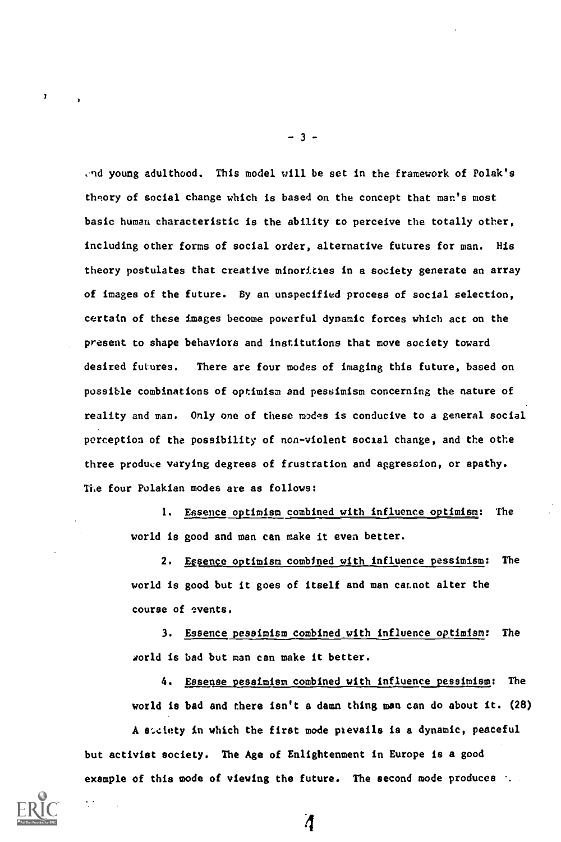.nd young adulthood. This model will be set in the framework of Polak's theory of social change which is based on the concept that man's most basic human characteristic is the ability to perceive the totally other, including other forms of social order, alternative futures for man. His theory postulates that creative minoricies in a society generate an array of images of the future. By an unspecified process of social selection, certain of these images become powerful dynamic forces which act on the present to shape behaviors and institutions that move society toward desired futures. There are four modes of imaging this future, based on possible combinations of optimism and pessimism concerning the nature of reality and man. Only one of these modes is conducive to a general social perception of the possibility of non-violent social change, and the othe three produce varying degrees of frustration and aggression, or apathy. The four Polakian modes are as follows:

> 1. Essence optimism combined with influence optimism: The world is good and man can make it even better.

2. Essence optimism combined with influence pessimism: The world is good but it goes of itself and man cacnot alter the course of events.

3. Essence pessimism combined with influence optimism: The world is bad but man can make it better.

4. Essense pessimism combined with influence pessimism: The world is bad and there isn't a damn thing man can do about it. (28)

A suclety in which the first mode prevails is a dynamic, peaceful but activist society. The Age of Enlightenment in Europe is a good example of this mode of viewing the future. The second mode produces :

4



- 3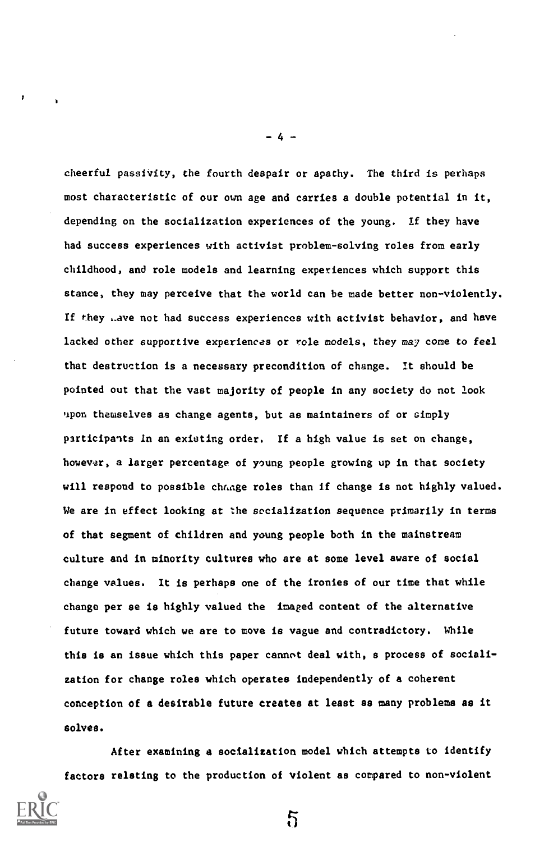cheerful passivity, the fourth despair or apathy. The third is perhaps most characteristic of our own age and carries a double potential in it, depending on the socialization experiences of the young. If they have had success experiences with activist problem-solving roles from early childhood, and role models and learning experiences which support this stance, they may perceive that the world can be made better non-violently. If they ...we not had success experiences with activist behavior, and have lacked other supportive experiences or role models, they may come to feel that destruction is a necessary precondition of change. It should be pointed out that the vast majority of people in any society do not look upon themselves as change agents, but as maintainers of or simply participants in an existing order. If a high value is set on change, however, a larger percentage of young people growing up in that society will respond to possible change roles than if change is not highly valued. We are in effect looking at the socialization sequence primarily in terms of that segment of children and young people both in the mainstream culture and in minority cultures who are at some level aware of social change values. It is perhaps one of the ironies of our time that while change per se is highly valued the imaged content of the alternative future toward which we are to move is vague and contradictory. While this is an issue which this paper cannot deal with, a process of socialization for change roles which operates independently of a coherent conception of a desirable future creates at least as many problems as it solves.

After examining a socialization model which attempts to identify factors relating to the production of violent as compared to non-violent

5



- 4 -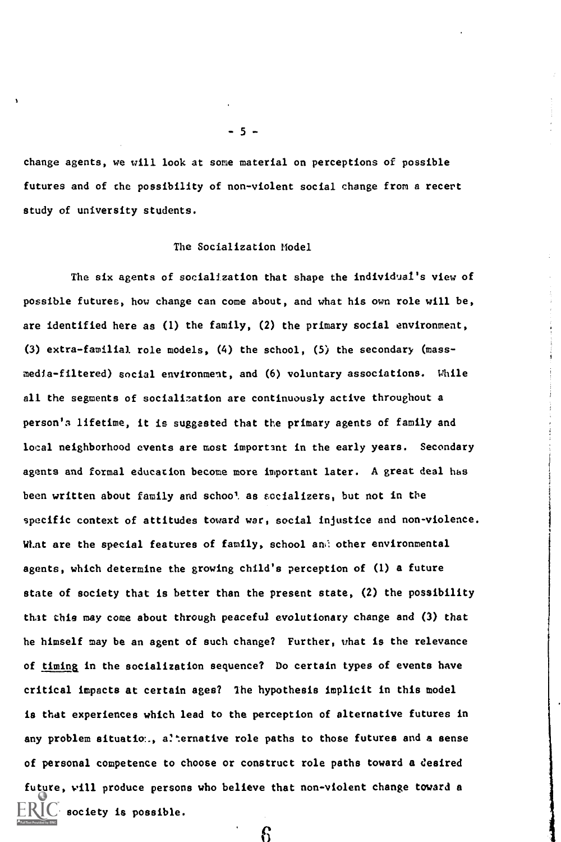change agents, we will look at some material on perceptions of possible futures and of the possibility of non-violent social change from a recert study of university students.

#### The Socialization Model

The six agents of socialization that shape the individual's view of possible futures, how change can come about, and what his own role will be, are identified here as (1) the family, (2) the primary social environment, (3) extra-familial role models, (4) the school, (5) the secondary (massmedia-filtered) social environment, and (6) voluntary associations. While all the segments of socialization are continuously active throughout a person's lifetime, it is suggested that the primary agents of family and local neighborhood events are most important in the early years. Secondary agents and formal education become more important later. A great deal has been written about family and schoo! as socializers, but not in the specific context of attitudes toward war, social injustice and non-violence. What are the special features of family, school and other environmental agents, which determine the growing child's perception of (1) a future state of society that is better than the present state, (2) the possibility that this may come about through peaceful evolutionary change and (3) that he himself may be an agent of such change? Further, what is the relevance of timing in the socialization sequence? Do certain types of events have critical impacts at certain ages? The hypothesis implicit in this model is that experiences which lead to the perception of alternative futures in any problem situation., alternative role paths to those futures and a sense of personal competence to choose or construct role paths toward a desired future, will produce persons who believe that non-violent change toward a society is possible.

6

5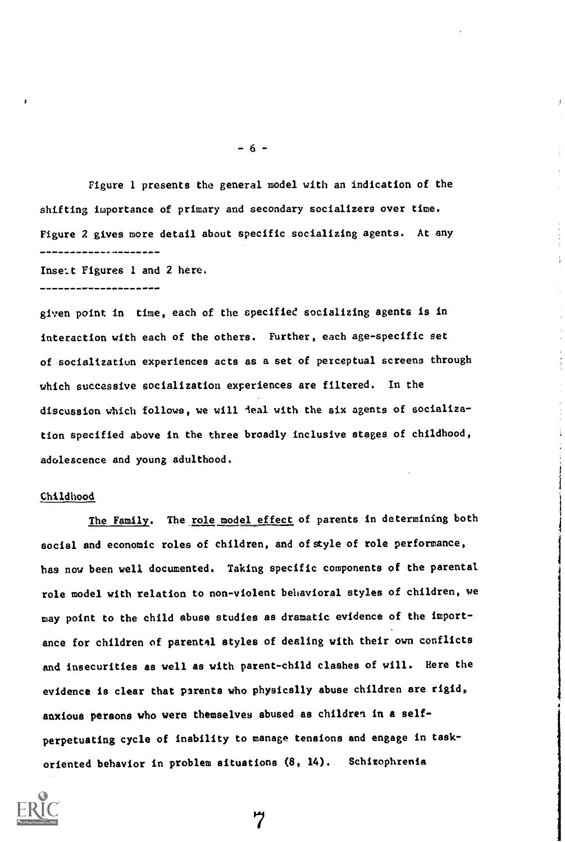Figure 1 presents the general model with an indication of the shifting importance of primary and secondary socializers over time. Figure 2 gives more detail about specific socializing agents. At any -----------------

Insert Figures 1 and 2 here.

------------------

given point in time, each of the specified socializing agents is in interaction with each of the others. Further, each age-specific set of socializatiun experiences acts as a set of perceptual screens through which successive socialization experiences are filtered. In the discussion which follows, we will deal with the six agents of socialization specified above in the three broadly inclusive stages of childhood, adolescence and young adulthood.

#### Childhood

The Family. The role model effect of parents in determining both social and economic roles of children, and of style of role performance, has now been well documented. Taking specific components of the parental role model with relation to non-violent behavioral styles of children, we may point to the child abuse studies as dramatic evidence of the importance for children of parental styles of dealing with their own conflicts and insecurities as well as with parent-child clashes of will. Here the evidence is clear that parents who physically abuse children are rigid, anxious persons who were themselves abused as children in a selfperpetuating cycle of inability to manage tensions and engage in taskoriented behavior in problem situations (8, 14). Schizophrenia



 $-6 -$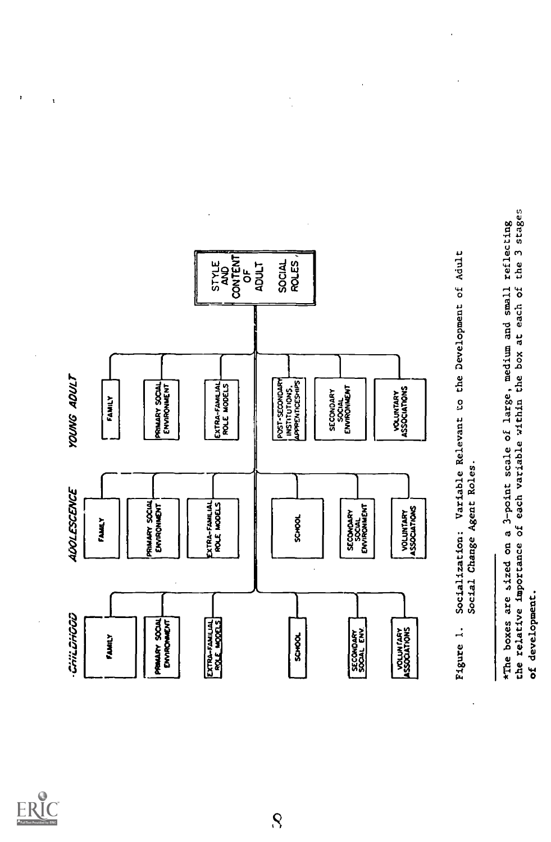

ł

ł,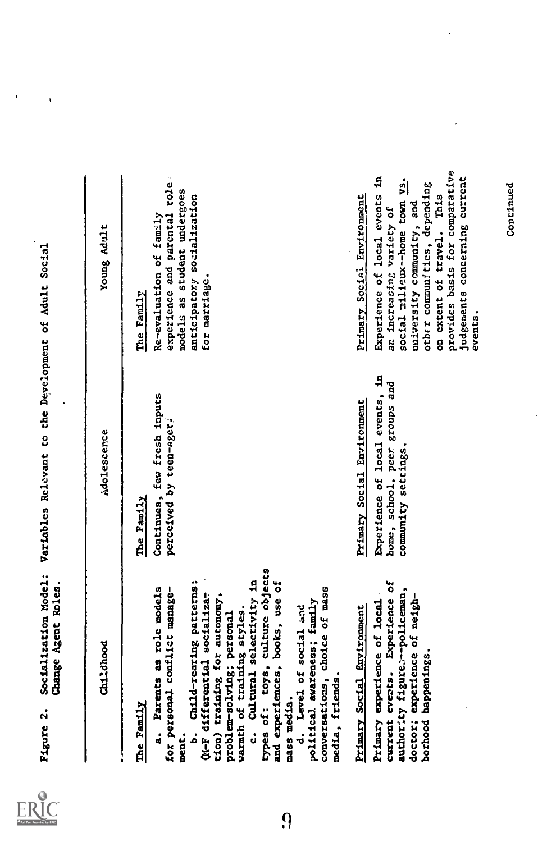

 $\overline{\phantom{a}}$ 

 $\cdot$ 

| types of: toys, culture objects<br>Cultural selectivity in<br>Child-rearing patterns:<br>and experiences, books, use of<br>Change Agent Roles<br>a. Parents as role models<br>conversations, choice of mass<br>for personal conflict manage-<br>Qu-F differential socializa-<br>tion) training for autonomy,<br>political awareness; family<br>Primary experience of local<br>d. Level of social and<br>Primary Social Environment<br>warmth of training styles.<br>problem-solving; personal<br>Childhood<br>media, friends.<br>mass media.<br>Figure 2.<br>The Family<br>j<br>ċ<br>ment. | Socialization Model: Variables Relevant to the Development of Adult Social<br>Experience of local events, in<br>Continues, few fresh inputs<br>Primary Social Environment<br>perceived by teen-ager;<br>Adolescence<br>The Family | experience and parental role:<br>Experience of local events in<br>models as student undergoes<br>anticipatory socialization<br>Primary Social Environment<br>Re-evaluation of family<br>Young Adult<br>for marriage.<br>The Family                     |
|--------------------------------------------------------------------------------------------------------------------------------------------------------------------------------------------------------------------------------------------------------------------------------------------------------------------------------------------------------------------------------------------------------------------------------------------------------------------------------------------------------------------------------------------------------------------------------------------|-----------------------------------------------------------------------------------------------------------------------------------------------------------------------------------------------------------------------------------|--------------------------------------------------------------------------------------------------------------------------------------------------------------------------------------------------------------------------------------------------------|
| current events. Experience of<br>authority figures-policeman,<br>doctor; experience of neigh-<br>borhood happenings.                                                                                                                                                                                                                                                                                                                                                                                                                                                                       | home, school, peer groups and<br>community settings.                                                                                                                                                                              | provides basis for comparative<br>judgements concerning current<br>s.<br>Pl<br>other communities, depending<br>Continued<br>on extent of travel. This<br>social milieux--home town<br>university community, and<br>an increasing variety of<br>events. |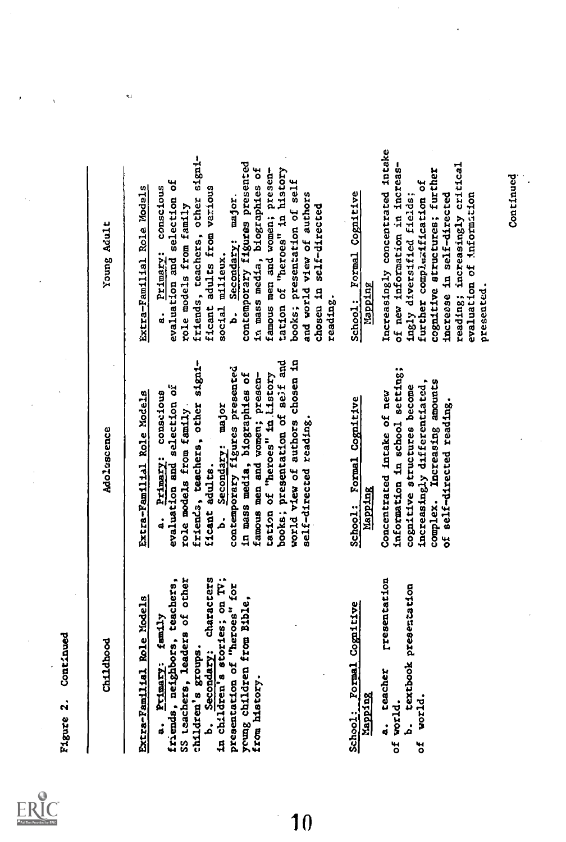Marco 2, continued<br>Continued Molecular Molecular Molecular Continued Northern State And<br>Continued Molecular Externalism Resident Continued Parameters<br>Situation of the state of the state of the state of the state of the sta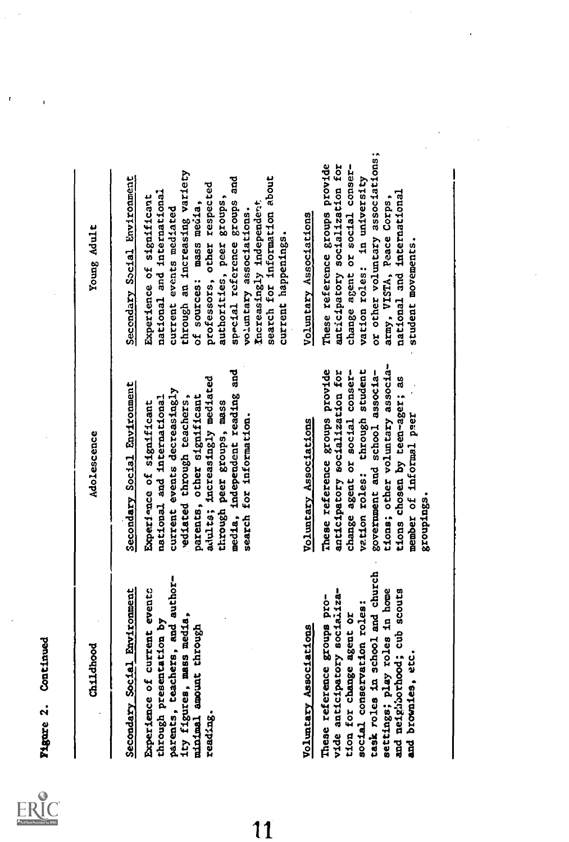$\mathbf{r}$ 

 $\mathbf{I}$ 

| Childhood                                                                                                                                                                                                                                                                | Adolescence                                                                                                                                                                                                                                                                                                  | Young Adult                                                                                                                                                                                                                                                                                                                                                                              |
|--------------------------------------------------------------------------------------------------------------------------------------------------------------------------------------------------------------------------------------------------------------------------|--------------------------------------------------------------------------------------------------------------------------------------------------------------------------------------------------------------------------------------------------------------------------------------------------------------|------------------------------------------------------------------------------------------------------------------------------------------------------------------------------------------------------------------------------------------------------------------------------------------------------------------------------------------------------------------------------------------|
| parents, teachers, and author-<br>Secondary Social Environment<br>Experience of current events<br>ity figures, mass media,<br>through presentation by<br>minimal amount through<br>reading.                                                                              | media, independent reading and<br>adults; increasingly mediated<br>Secondary Social Environment<br>current events decreasingly<br>parents, other significant<br>ediated through teachers,<br>national and international<br>through peer groups, mass<br>Experience of significant<br>search for information. | through an increasing variety<br>Secondary Social Environment<br>search for information about<br>special reference groups and<br>professors, other respected<br>national and international<br>Experience of significant<br>authorities, peer groups,<br>Increasingly independent<br>of sources: mass media,<br>current events mediated<br>voluntary associations.<br>current happenings. |
| task roles in school and church<br>settings; play roles in home<br>vide anticipatory socializa-<br>and neighborhood; cub scouts<br>These reference groups pro-<br>social conservation roles:<br>tion for change agent or<br>Voluntary Associations<br>and brownies, etc. | tions; other voluntary associa-<br>These reference groups provide<br>vation roles: through student<br>government and school associa-<br>anticipatory socialization for<br>change agent or social conser-<br>tions chosen by teen-ager; as<br>member of informal peer<br>Voluntary Associations<br>.esuptugs  | or other voluntary associations<br>These reference groups provide<br>anticipatory socialization for<br>change agent or social conser-<br>vation roles: in university<br>national and international<br>army, VISTA, Peace Corps,<br>Voluntary Associations<br>student movements.                                                                                                          |
|                                                                                                                                                                                                                                                                          |                                                                                                                                                                                                                                                                                                              |                                                                                                                                                                                                                                                                                                                                                                                          |

 $\overline{11}$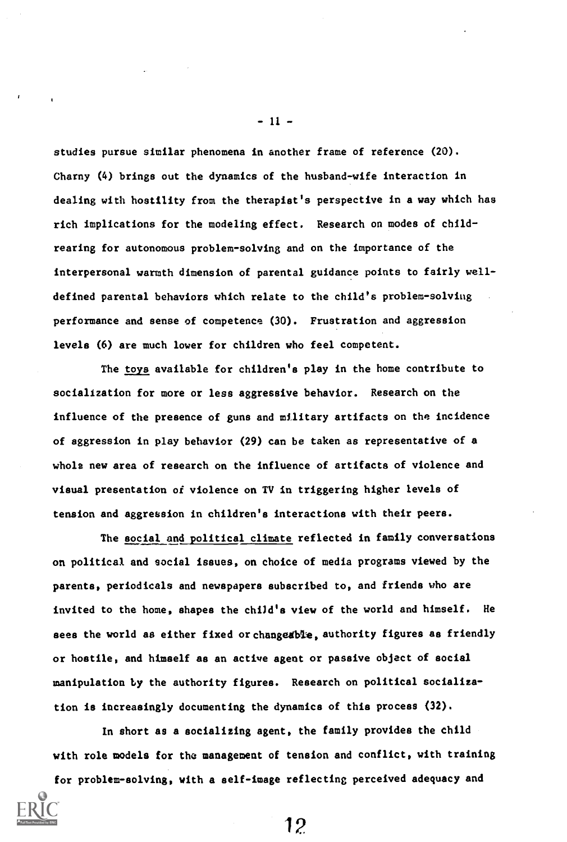studies pursue similar phenomena in another frame of reference (20). Charny (4) brings out the dynamics of the husband-wife interaction in dealing with hostility from the therapist's perspective in a way which has rich implications for the modeling effect. Research on modes of childrearing for autonomous problem-solving and on the importance of the interpersonal warmth dimension of parental guidance points to fairly welldefined parental behaviors which relate to the child's problem-solving performance and sense of competence (30). Frustration and aggression levels (6) are much lower for children who feel competent.

The toys available for children's play in the home contribute to socialization for more or less aggressive behavior. Research on the influence of the presence of guns and military artifacts on the incidence of aggression in play behavior (29) can be taken as representative of a whole new area of research on the influence of artifacts of violence and visual presentation of violence on TV in triggering higher levels of tension and aggression in children's interactions with their peers.

The social and political climate reflected in family conversations on political and social issues, on choice of media programs viewed by the parents, periodicals and newspapers subscribed to, and friends who are invited to the home, shapes the child's view of the world and himself. He sees the world as either fixed or changesble, authority figures as friendly or hostile, and himself as an active agent or passive object of social manipulation by the authority figures. Research on political socialization is increasingly documenting the dynamics of this process (32).

In short as a socializing agent, the family provides the child with role models for the management of tension and conflict, with training

for problem-solving, with a self-image reflecting perceived adequacy and

 $-11 -$ 

12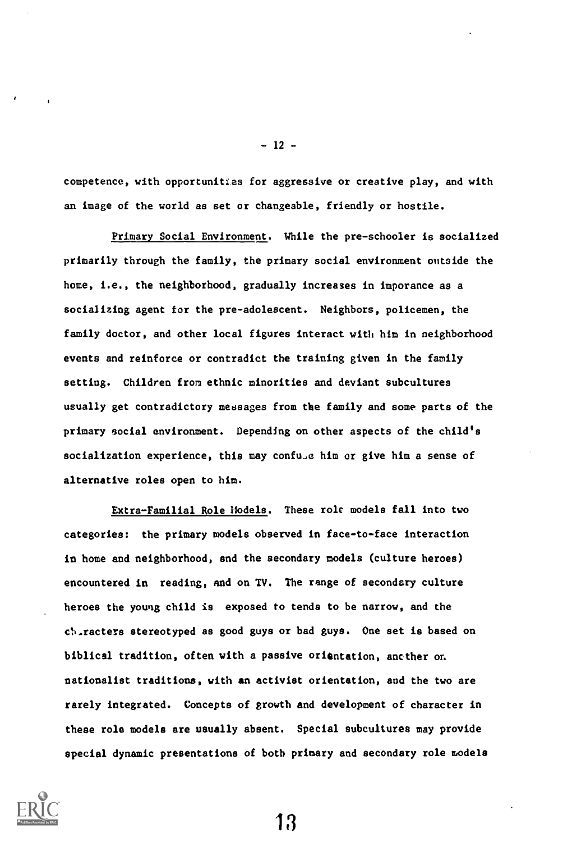competence, with opportunitles for aggressive or creative play, and with an image of the world as set or changeable, friendly or hostile.

Primary Social Environment. While the pre-schooler is socialized primarily through the family, the primary social environment outside the home, i.e., the neighborhood, gradually increases in imporance as a socializing agent for the pre-adolescent. Neighbors, policemen, the family doctor, and other local figures interact with him in neighborhood events and reinforce or contradict the training given in the family setting. Children from ethnic minorities and deviant subcultures usually get contradictory messages from the family and some parts of the primary social environment. Depending on other aspects of the child's socialization experience, this may confule him or give him a sense of alternative roles open to him.

Extra-Familial Role Models. These role models fall into two categories: the primary models observed in face-to-face interaction in home and neighborhood, and the secondary models (culture heroes) encountered in reading, and on TV. The range of secondary culture heroes the young child is exposed to tends to be narrow, and the ch.racters stereotyped as good guys or bad guys. One set is based on biblical tradition, often with a passive orientation, ancther om nationalist traditions, with an activist orientation, and the two are rarely integrated. Concepts of growth and development of character in these role models are usually absent. Special subcultures may provide special dynamic presentations of both primary and secondary role models

13



- 12 -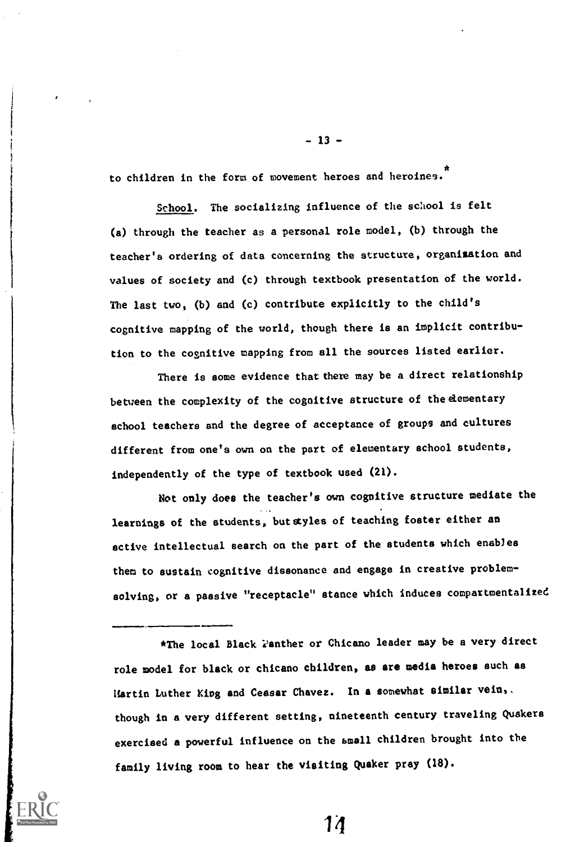to children in the form of movement heroes and heroines. \*

School. The socializing influence of the school is felt (a) through the teacher as a personal role model, (b) through the teacher's ordering of data concerning the structure, organization and values of society and (c) through textbook presentation of the world. The last two, (b) and (c) contribute explicitly to the child's cognitive mapping of the world, though there is an implicit contribution to the cognitive mapping from all the sources listed earlier.

There is some evidence that there may be a direct relationship between the complexity of the cognitive structure of the elementary school teachers and the degree of acceptance of groups and cultures different from one's own on the part of elementary school students, independently of the type of textbook used (21).

Not only does the teacher's own cognitive structure mediate the learnings of the students, but styles of teaching foster either an active intellectual search on the part of the students which enables them to sustain cognitive dissonance and engage in creative problemsolving, or a passive "receptacle" stance which induces compartmentalized

\*The local Black Panther or Chicano leader may be a very direct role model for black or chicano children, as are media heroes such as Hartin Luther Kipg and Ceasar Chavez. In a somewhat similar vein, though in a very different setting, nineteenth century traveling Quakers exercised a powerful influence on the small children brought into the family living room to hear the visiting Quaker pray (18).

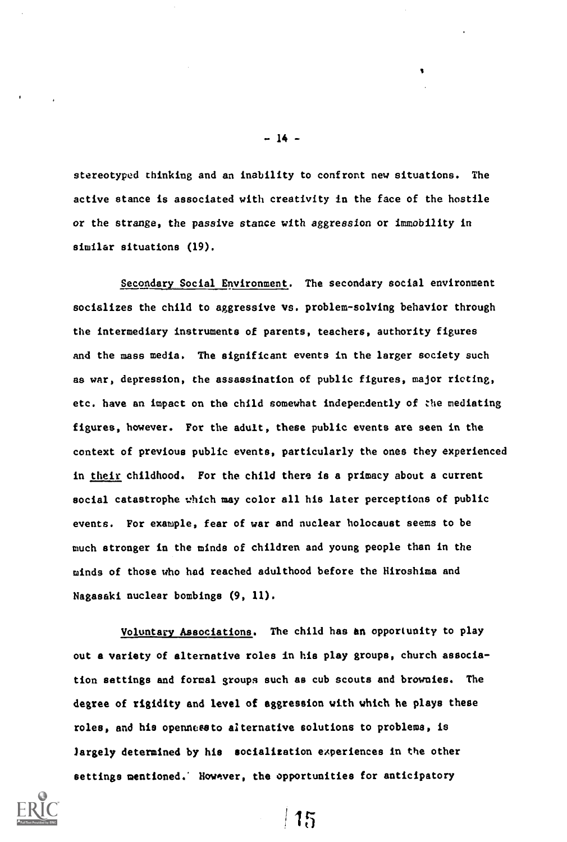stereotyped thinking and an inability to confront new situations. The active stance is associated with creativity in the face of the hostile or the strange, the passive stance with aggression or immobility in similar situations (19).

- 14 -

Secondary Social Environment. The secondary social environment socializes the child to aggressive vs. problem-solving behavior through the intermediary instruments of parents, teachers, authority figures and the mass media. The significant events in the larger society such as war, depression, the assassination of public figures, major rioting, etc. have an impact on the child somewhat independently of the mediating figures, however. For the adult, these public events are seen in the context of previous public events, particularly the ones they experienced in their childhood. For the child there is a primacy about a current social catastrophe which may color all his later perceptions of public events. For example, fear of war and nuclear holocaust seems to be much stronger in the minds of children and young people than in the minds of those who had reached adulthood before the Hiroshima and Nagasaki nuclear bombings (9, 11).

Voluntary Associations. The child has an opportunity to play out a variety of alternative roles in his play groups, church association settings and formal groups such as cub scouts and brownies. The degree of rigidity and level of aggression with which he plays these roles, and his opennceeto alternative solutions to problems, is largely determined by his socialization experiences in the other settings mentioned.' However, the opportunities for anticipatory



 $|15$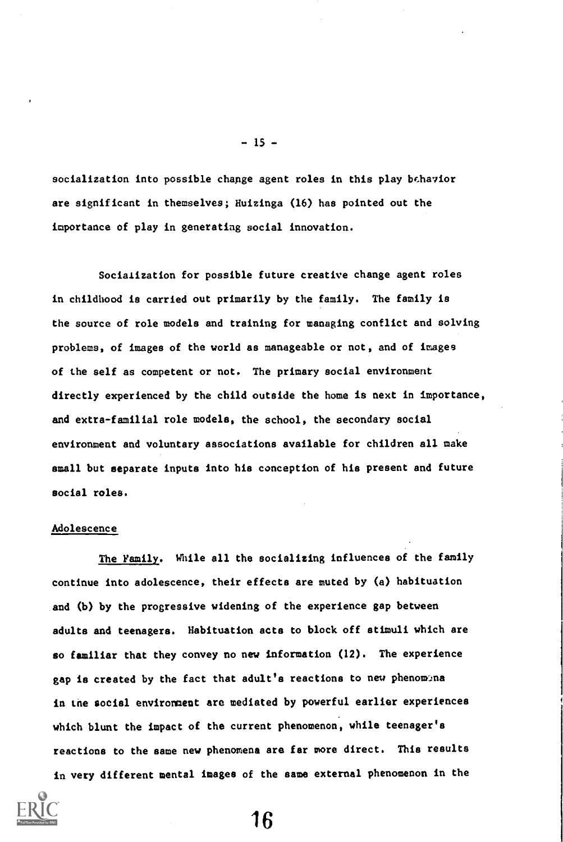socialization into possible change agent roles in this play behavior are significant in themselves; Huizinga (16) has pointed out the importance of play in generating social innovation.

 $-15 -$ 

Socialization for possible future creative change agent roles in childhood is carried out primarily by the family. The family is the source of role models and training for managing conflict and solving problems, of images of the world as manageable or not, and of images of the self as competent or not. The primary social environment directly experienced by the child outside the home is next in importance, and extra-familial role models, the school, the secondary social environment and voluntary associations available for children all make small but separate inputs into his conception of his present and future social roles.

# Adolescence

The Family. While all the socializing influences of the family continue into adolescence, their effects are muted by (a) habituation and (b) by the progressive widening of the experience gap between adults and teenagers. Habituation acts to block off stimuli which are so familiar that they convey no new information (12). The experience gap is created by the fact that adult's reactions to new phenomina in the social environment are mediated by powerful earlier experiences which blunt the impact of the current phenomenon, while teenager's reactions to the same new phenomena are far more direct. This results in very different mental images of the same external phenomenon in the



16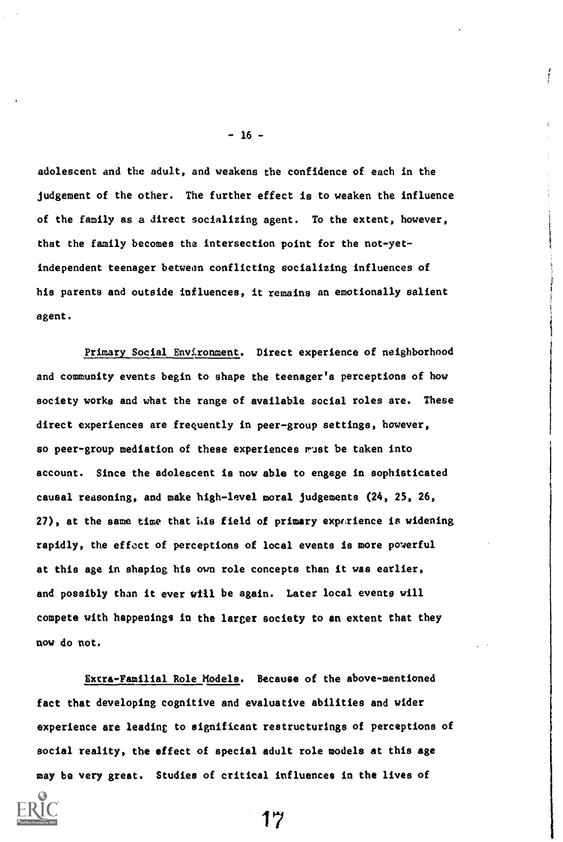adolescent and the adult, and weakens the confidence of each in the judgement of the other. The further effect is to weaken the influence of the family as a direct socializing agent. To the extent, however, that the family becomes the intersection point for the not-yetindependent teenager between conflicting socializing influences of his parents and outside influences, it remains an emotionally salient agent.

Primary Social Environment. Direct experience of neighborhood and community events begin to shape the teenager's perceptions of how society works and what the range of available social roles are. These direct experiences are frequently in peer-group settings, however, so peer-group mediation of these experiences  $r$ ust be taken into account. Since the adolescent is now able to engage in sophisticated causal reasoning, and make high-level moral judgements (24, 25, 26, 27), at the same time that his field of primary experience is widening rapidly, the effect of perceptions of local events is more powerful at this age in shaping his own role concepts than it was earlier, and possibly than it ever will be again. Later local events will compete with happenings in the larger society to an extent that they now do not.

Extra-Familial Role Models. Because of the above-mentioned fact that developing cognitive and evaluative abilities and wider experience are leading to significant restructurings of perceptions of social reality, the effect of special adult role models at this age may be very great. Studies of critical influences in the lives of



17

 $- 16 -$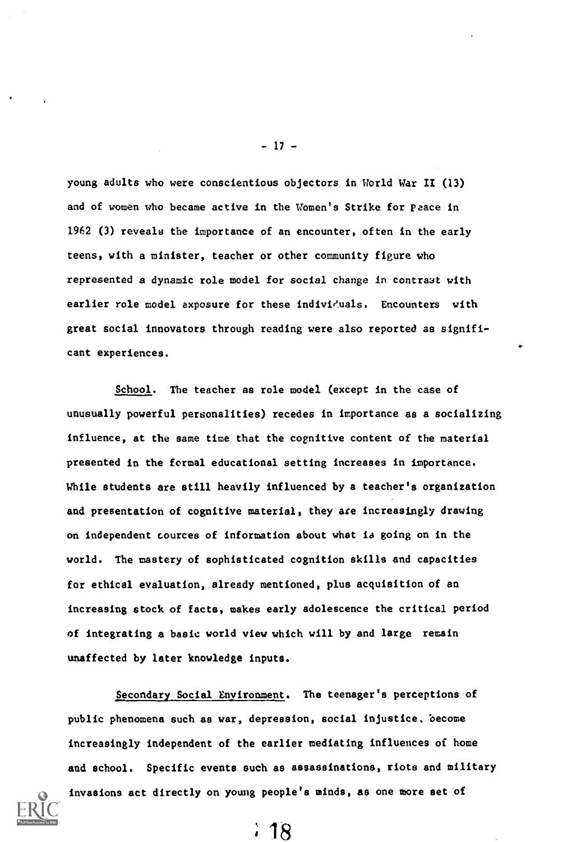young adults who were conscientious objectors in World War II (13) and of women who became active in the Women's Strike for peace in 1962 (3) reveals the importance of an encounter, often in the early teens, with a minister, teacher or other community figure who represented a dynamic role model for social change in contrast with earlier role model axposure for these individuals. Encounters with great social innovators through reading were also reported as significant experiences.

- 17 -

School. The teacher as role model (except in the case of unusually powerful personalities) recedes in importance as a socializing influence, at the same time that the cognitive content of the material presented in the formal educational setting increases in importance. While students are still heavily influenced by a teacher's organization and presentation of cognitive material, they are increasingly drawing on independent sources of information about what is going on in the world. The mastery of sophisticated cognition skills and capacities for ethical evaluation, already mentioned, plus acquisition of an increasing stock of facts, makes early adolescence the critical period of integrating a basic world view which will by and large remain unaffected by later knowledge inputs.

Secondary Social Environment. The teenager's perceptions of public phenomena such as war, depression, social injustice, become increasingly independent of the earlier mediating influences of home and school. Specific events such as assassinations, riots and military invasions act directly on young people's minds, as one more set of



 $\cdot$  18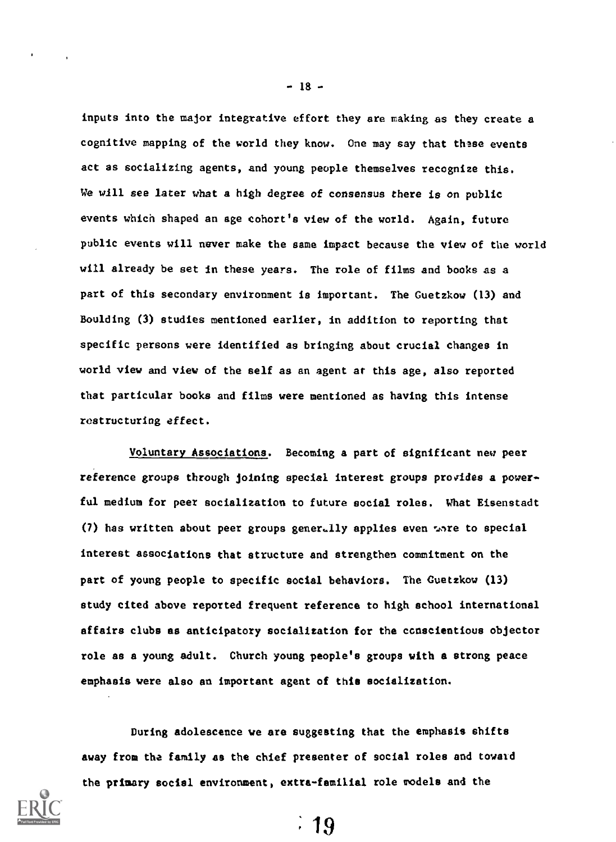inputs into the major integrative effort they are making as they create a cognitive mapping of the world they know. One may say that these events act as socializing agents, and young people themselves recognize this. We will see later what a high degree of consensus there is on public events which shaped an age cohort's view of the world. Again, future public events will never make the same impact because the view of the world will already be set in these years. The role of films and books as a part of this secondary environment is important. The Guetzkow (13) and Boulding (3) studies mentioned earlier, in addition to reporting that specific persons were identified as bringing about crucial changes in world view and view of the self as an agent at this age, also reported that particular books and films were mentioned as having this intense roatructuriog effect.

Voluntary Associations. Becoming a part of significant new peer reference groups through joining special interest groups provides a powerful medium for peer socialization to future social roles. What Eisenstadt (7) has written about peer groups gener.lly applies even tore to special interest associations that structure and strengthen commitment on the part of young people to specific social behaviors. The Guetzkow (13) study cited above reported frequent reference to high school international affairs clubs as anticipatory socialization for the conscientious objector role as a young adult. Church young people's groups with a strong peace emphasis were also an important agent of this socialization.

During adolescence we are suggesting that the emphasis shifts away from the family as the chief presenter of social roles and toward the primary social environment, extra-familial role models and the



- 18-

 $\therefore$  19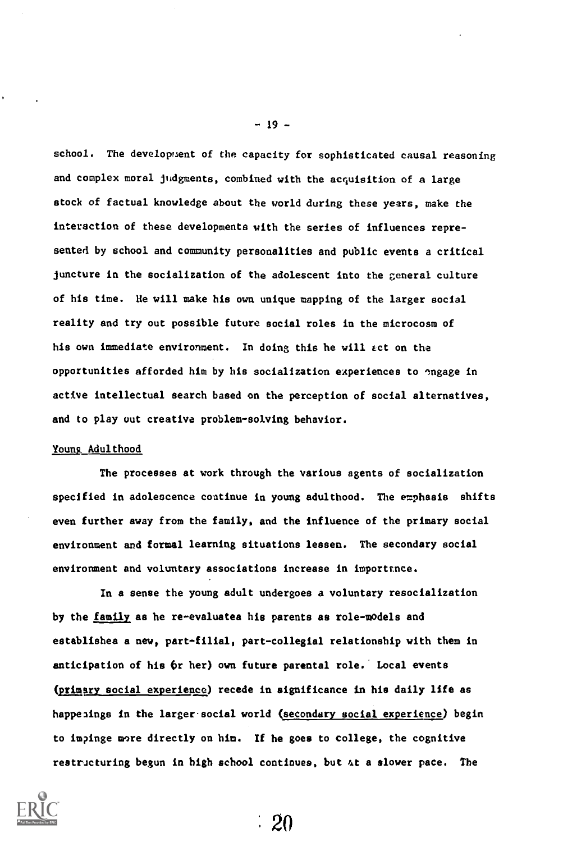school. The development of the capacity for sophisticated causal reasoning and complex moral judgments, combined with the acquisition of a large stock of factual knowledge about the world during these years, make the interaction of these developments with the series of influences represented by school and community personalities and public events a critical juncture in the socialization of the adolescent into the general culture of his time. He will make his own unique mapping of the larger social reality and try out possible future social roles in the microcosm of his own immediate environment. In doing this he will act on the opportunities afforded him by his socialization experiences to "ngage in active intellectual search based on the perception of social alternatives, and to play out creative problem-solving behavior.

#### Young, Adulthood

The processes at work through the various agents of socialization specified in adolescence continue in young adulthood. The emphasis shifts even further away from the family, and the influence of the primary social environment and formal learning situations lessen. The secondary social environment and voluntary associations increase in importance.

In a sense the young adult undergoes a voluntary resocialization by the family as he re-evaluatea his parents as role-models and establishes a new, part-filial, part-collegial relationship with them in anticipation of his Or her) own future parental role. Local events (primary social experience) recede in significance in his daily life as happenings in the larger social world (secondary social experience) begin to impinge more directly on him. If he goes to college, the cognitive restructuring begun in high school continues, but at a slower pace. The

2O



-19-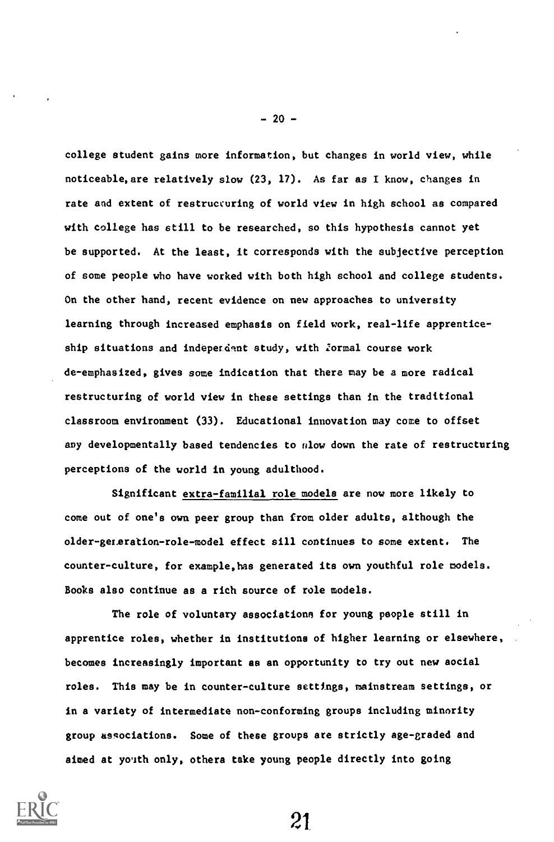college student gains more information, but changes in world view, while noticeable, are relatively slow (23, 17). As far as I know, changes in rate and extent of restructuring of world view in high school as compared with college has still to be researched, so this hypothesis cannot yet be supported. At the least, it corresponds with the subjective perception of some people who have worked with both high school and college students. On the other hand, recent evidence on new approaches to university learning through increased emphasis on field work, real-life apprenticeship situations and indeperdent study, with formal course work de-emphasized, gives some indication that there may be a more radical restructuring of world view in these settings than in the traditional classroom environment (33). Educational innovation may come to offset any developmentally based tendencies to  $n$ low down the rate of restructuring perceptions of the world in young adulthood.

Significant extra-familial role models are now more likely to come out of one's own peer group than from older adults, although the older-generation-role-model effect sill continues to some extent. The counter-culture, for example,has generated its own youthful role models. Books also continue as a rich source of role models.

The role of voluntary associations for young people still in apprentice roles, whether in institutions of higher learning or elsewhere, becomes increasingly important as an opportunity to try out new social roles. This may be in counter-culture settings, mainstream settings, or in a variety of intermediate non-conforming groups including minority group associations. Some of these groups are strictly age-graded and aimed at yoith only, others take young people directly into going



 $-20-$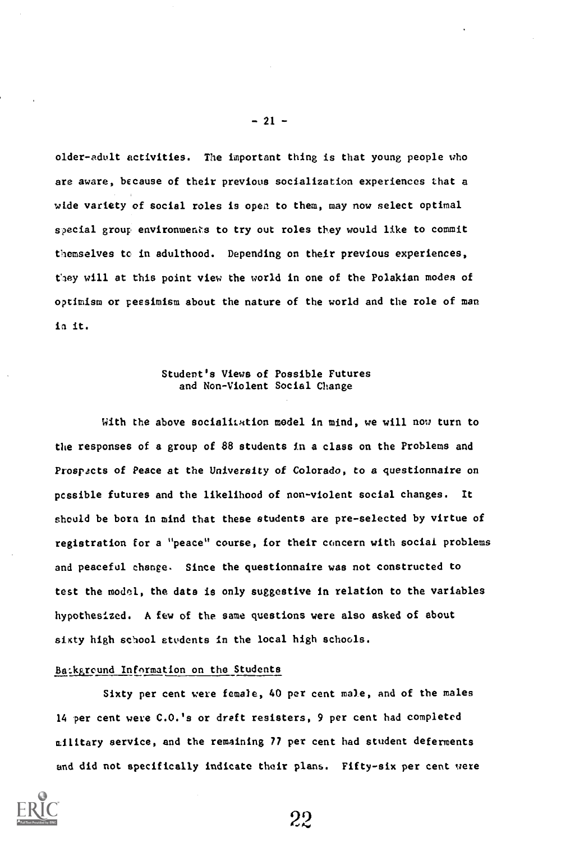older-adult activities. The important thing is that young people who are aware, because of their previous socialization experiences that a wide variety of social roles is open to them, may now select optimal special group environments to try out roles they would like to commit themselves to in adulthood. Depending on their previous experiences, they will at this point view the world in one of the Polakian modes of optimism or pessimism about the nature of the world and the role of man in it.

# Student's Views of Possible Futures and Non-Violent Social Change

With the above socialization model in mind, we will now turn to the responses of a group of 88 students in a class on the Problems and Prospects of Peace at the University of Colorado, to a questionnaire on pcssible futures and the likelihood of non-violent social changes. It should be born in mind that these students are pre-selected by virtue of registration for a "peace" course, for their concern with social problems and peaceful change. Since the questionnaire was not constructed to test the model, the data is only suggestive in relation to the variables hypothesized. A few of the same questions were also asked of about sixty high school students in the local high schools.

### Ba:kgreund Information on the Students

Sixty per cent were female, 40 per cent male, and of the males 14 per cent were C.O.'s or dreft resisters, 9 per cent had completed military service, and the remaining 77 per cent had student deferments and did not specifically indicate their plans. Fifty-six per cent were

22



 $-21 -$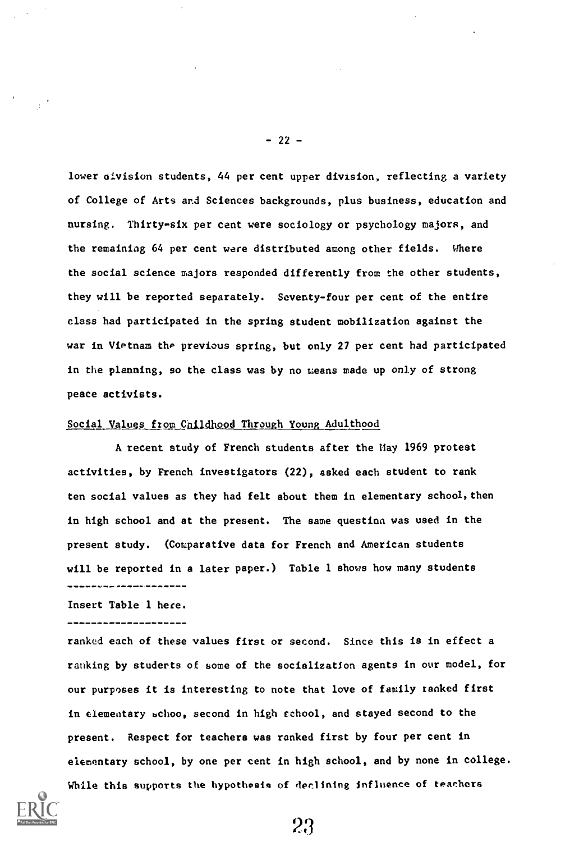lower division students, 44 per cent upper division, reflecting a variety of College of Arts and Sciences backgrounds, plus business, education and nursing. Thirty-six per cent were sociology or psychology majors, and the remaining 64 per cent were distributed among other fields. Where the social science majors responded differently from the other students, they will be reported separately. Seventy-four per cent of the entire class had participated in the spring student mobilization against the war in Vietnam the previous spring, but only 27 per cent had participated in the planning, so the class was by no means made up only of strong peace activists.

### Social Values from Childhood Through Young Adulthood

A recent study of French students after the Hay 1969 protest activities, by French investigators (22), asked each student to rank ten social values as they had felt about them in elementary school, then in high school and at the present. The same question was used in the present study. (Comparative data for French and American students will be reported in a later paper.) Table 1 shows how many students ,,,,,,,,,*,,,,*,,,,,,,,,,

Insert Table 1 here.

ranked each of these values first or second. Since this is in effect a ranking by students of some of the socialization agents in our model, for our purposes it is interesting to note that love of family ranked first in elementary schoo, second in high school, and stayed second to the present. Respect for teachers was ranked first by four per cent in elementary school, by one per cent in high school, and by none in college. While this supports the hypothesis of declining influence of teachers



-22-

23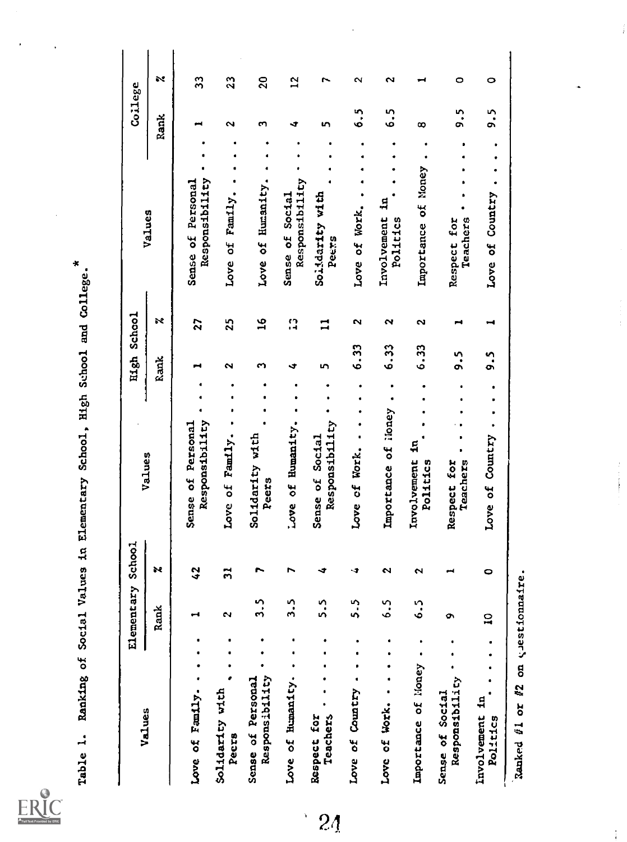ERIC

| Values                              |                | Element            | ary School       |                                     | High            | <b>Schcol</b> |              |                                     |              | College         |
|-------------------------------------|----------------|--------------------|------------------|-------------------------------------|-----------------|---------------|--------------|-------------------------------------|--------------|-----------------|
|                                     |                | Rank               | s.               | Values                              | Rank            |               | ×            | Values                              | Rank         |                 |
| Love of Family.                     |                |                    | $\boldsymbol{3}$ | Responsibility<br>Sense of Personal |                 |               | 27           | Responsibility<br>Sense of Personal |              | $\mathfrak{Z}$  |
| Solidarity with<br>Pecrs            |                | $\mathbf{\hat{z}}$ | $\ddot{ }$       | Love of Family.                     | N               |               | 25           | Love of Family.                     | $\sim$       | $\mathfrak{a}$  |
| Responsibility<br>Sense of Personal |                | S<br>$\dot{ }$     |                  | Solidarity with<br>Peers            | 5               |               | $\tilde{a}$  | Love of Humanity.                   | m            | $\overline{20}$ |
| Love of Humanity.                   |                | n<br>$\ddot{ }$    | r                | Love of Humanity.                   | ٩               |               | $\Omega$     | Responsibility<br>Sense of Social   | -T           | 51              |
| <b>Teachers</b><br>Respect for      |                | <b>ู้</b><br>่     | ∢                | Responsibility<br>Sense of Social   | m               |               | $\mathbf{I}$ | Solidarity with<br>Peers            | m            |                 |
| Love of Country                     |                | n<br>'n            | ↴                | $\bullet$<br>Love of Work.          |                 | 6.33          | N            | Love of Work.                       | $\ddot{6}$ . |                 |
| Love of Work. .                     | ٠              | 6.5                | N                | Importance of Noney                 | 6.33            |               | $\sim$       | Involvement in<br>Politics          | ده.<br>ن     |                 |
| Importance of <i>Noney</i>          |                | n<br>ؘٯ            | $\sim$           | Ş<br>Involvement<br>Politics        |                 | 6.33          | N            | Importance of Money                 | œ            |                 |
| Responsibility<br>Sense of Social   |                | ō                  |                  | Teachers<br>Respect for             | ິ <b>.</b><br>ດ |               | ⊶            | Teachers<br>Respect for             | ი<br>ი<br>თ  |                 |
| Involvement in<br>Politics          | ٠<br>$\bullet$ | $\mathbf{a}$       | $\bullet$        | Love of Country                     | <u>ິ</u>        |               | ⊣            | Love of Country                     | 5.S          |                 |

 $\frac{1}{k}$ 

 $\frac{1}{4}$ 

÷

 $2<sub>4</sub>$ 

 $\frac{1}{\sqrt{2}}$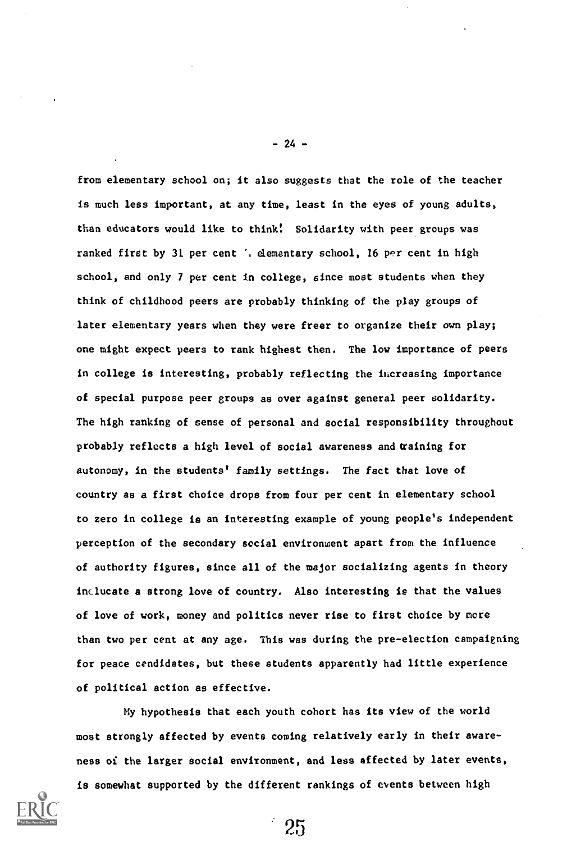from elementary school on; it also suggests that the role of the teacher is much less important, at any time, least in the eyes of young adults, than educators would like to think! Solidarity with peer groups was ranked first by 31 per cent '. elementary school, 16 per cent in high school, and only 7 per cent in college, since most students when they think of childhood peers are probably thinking of the play groups of later elementary years when they were freer to organize their own play; one might expect peers to rank highest then. The low importance of peers in college is interesting, probably reflecting the increasing importance of special purpose peer groups as over against general peer solidarity. The high ranking of sense of personal and social responsibility throughout probably reflects a high level of social awareness and training for autonomy, in the students' family settings. The fact that love of country as a first choice drops from four per cent in elementary school to zero in college is an interesting example of young people's independent perception of the secondary social environment apart from the influence of authority figures, since all of the major socializing agents in theory inclucate a strong love of country. Also interesting is that the values of love of work, money and politics never rise to first choice by mere than two per cent at any age. This was during the pre-election campaigning for peace cendidates, but these students apparently had little experience of political action as effective.

My hypothesis that each youth cohort has its view of the world most strongly affected by events coming relatively early in their awareness of the larger social environment, and less affected by later events, is somewhat supported by the different rankings of events between high

25



- 24 -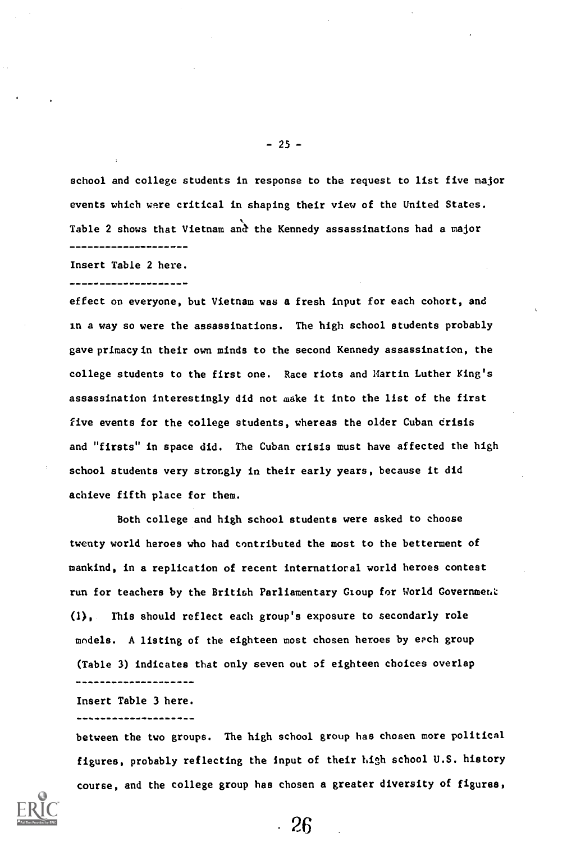school and college students in response to the request to list five major events which were critical in shaping their view of the United States. Table 2 shows that Vietnam and the Kennedy assassinations had a major ---------------------

Insert Table 2 here.

effect on everyone, but Vietnam was a fresh input for each cohort, and in a way so were the assassinations. The high school students probably gave primacy in their own minds to the second Kennedy assassination, the college students to the first one. Race riots and Martin Luther King's assassination interestingly did not make it into the list of the first five events for the college students, whereas the older Cuban crisis and "firsts" in space did. The Cuban crisis must have affected the high school students very strongly in their early years, because it did achieve fifth place for them.

Both college and high school students were asked to choose twenty world heroes who had contributed the most to the betterment of mankind, in a replication of recent international world heroes contest run for teachers by the British Parliamentary Gtoup for World Government (1), This should reflect each group's exposure to secondarly role models. A listing of the eighteen most chosen heroes by each group (Table 3) indicates that only seven out of eighteen choices overlap --------------

Insert Table 3 here. ...................

between the two groups. The high school group has chosen more political figures, probably reflecting the input of their high school U.S. history course, and the college group has chosen a greater diversity of figures,

 $-26$ 



 $-25 -$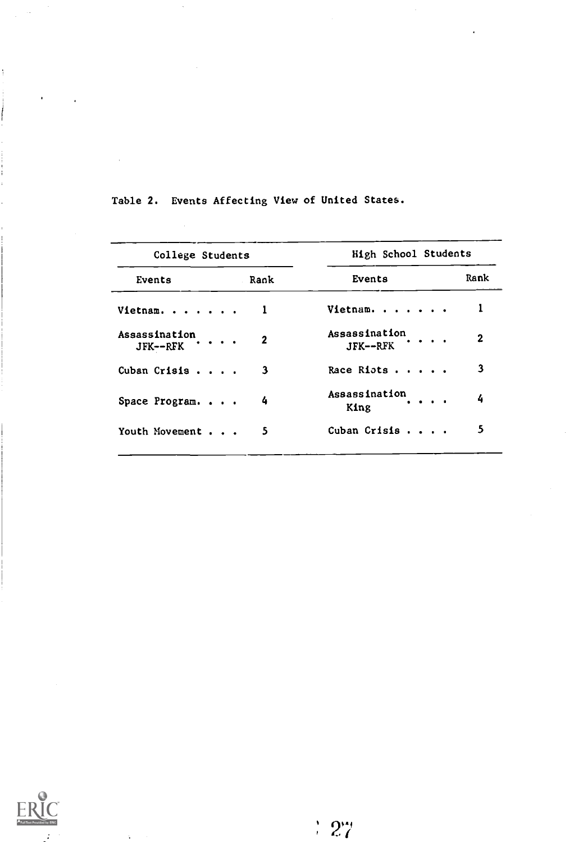| College Students            |              | High School Students                                 |      |
|-----------------------------|--------------|------------------------------------------------------|------|
| Events                      | Rank         | Events                                               | Rank |
| Vietnam.                    |              | Vietnam.                                             |      |
| Assassination<br>$JFK--RFK$ | $\mathbf{2}$ | Assassination<br>$JFK--RFK$ $\cdots$                 | 2    |
| Cuban Crisis                | 3            | Race Riots                                           | 3    |
| Space Program. $\cdots$     | 4            | Assassination<br>$\sim$ $\sim$ $\sim$ $\sim$<br>King | 4    |
| Youth Movement              | 5            | Cuban Crisis                                         | 5    |

Table 2. Events Affecting View of United States.



 $\ddot{\phantom{a}}$ 

 $\frac{1}{2}$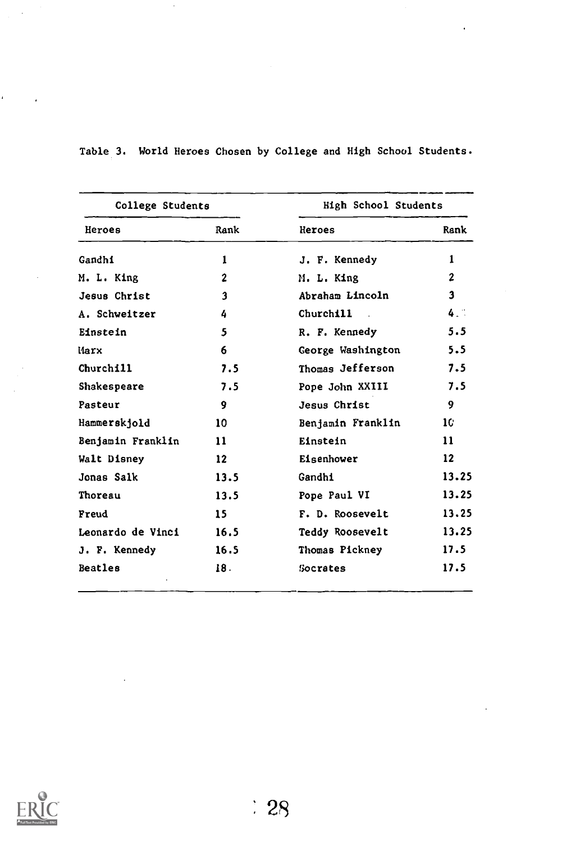| College Students  |                 | <b>High School Students</b> |                   |  |
|-------------------|-----------------|-----------------------------|-------------------|--|
| Heroes            | Rank            | <b>Heroes</b>               | Rank              |  |
| Gandhi            | 1               | J. F. Kennedy               | 1                 |  |
| M. L. King        | $\mathbf 2$     | M. L. King                  | $\mathbf{2}$      |  |
| Jesus Christ      | 3               | Abraham Lincoln             | $\mathbf{3}$      |  |
| A. Schweitzer     | 4               | Churchill                   | 4.1               |  |
| Einstein          | 5               | R. F. Kennedy               | 5.5               |  |
| Marx              | 6               | George Washington           | 5.5               |  |
| Churchill         | 7.5             | Thomas Jefferson            | 7.5               |  |
| Shakespeare       | 7.5             | Pope John XXIII             | 7.5               |  |
| Pasteur           | 9               | Jesus Christ                | 9                 |  |
| Hammerskjold      | 10 <sup>1</sup> | Benjamin Franklin           | 10                |  |
| Benjamin Franklin | 11              | Einstein                    | 11                |  |
| Walt Disney       | 12 <sup>2</sup> | Eisenhower                  | $12 \overline{ }$ |  |
| Jonas Salk        | 13.5            | Gandhi                      | 13.25             |  |
| Thoreau           | 13.5            | Pope Paul VI                | 13.25             |  |
| Freud             | 15              | F. D. Roosevelt             | 13.25             |  |
| Leonardo de Vinci | 16.5            | Teddy Roosevelt             | 13.25             |  |
| J. F. Kennedy     | 16.5            | Thomas Pickney              | 17.5              |  |
| Beatles           | 18.             | Socrates                    | 17.5              |  |

Table 3. World Heroes Chosen by College and High School Students.



ï

 $\cdot$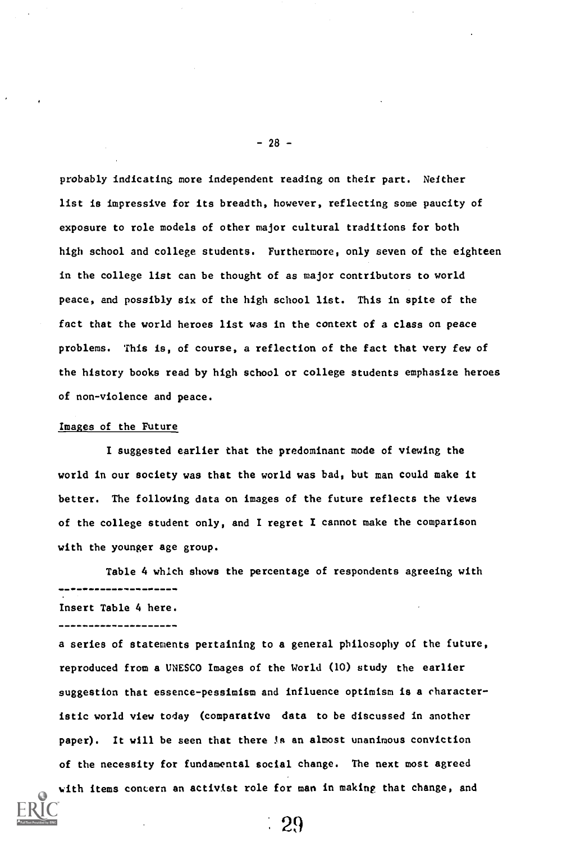probably indicating more independent reading on their part. Neither list is impressive for its breadth, however, reflecting some paucity of exposure to role models of other major cultural traditions for both high school and college students. Furthermore, only seven of the eighteen in the college list can be thought of as major contributors to world peace, and possibly six of the high school list. This in spite of the fact that the world heroes list was in the context of a class on peace problems. This is, of course, a reflection of the fact that very few of the history books read by high school or college students emphasize heroes of non-violence and peace.

## Images of the Future

I suggested earlier that the predominant mode of viewing the world in our society was that the world was bad, but man could make it better. The following data on images of the future reflects the views of the college student only, and I regret I cannot make the comparison with the younger age group.

Table 4 which shows the percentage of respondents agreeing with . \_\_\_\_\_\_\_\_*\_\_*\_\_\_\_

Insert Table 4 here.

a series of statements pertaining to a general philosophy of the future, reproduced from a UNESCO Images of the World (10) study the earlier suggestion that essence-pessimism and influence optimism is a characteristic world view today (comparative data to be discussed in another paper). It will be seen that there is an almost unanimous conviction of the necessity for fundamental social change. The next most agreed

```
with items concern an activist role for man in making that change, and
```
 $-28-$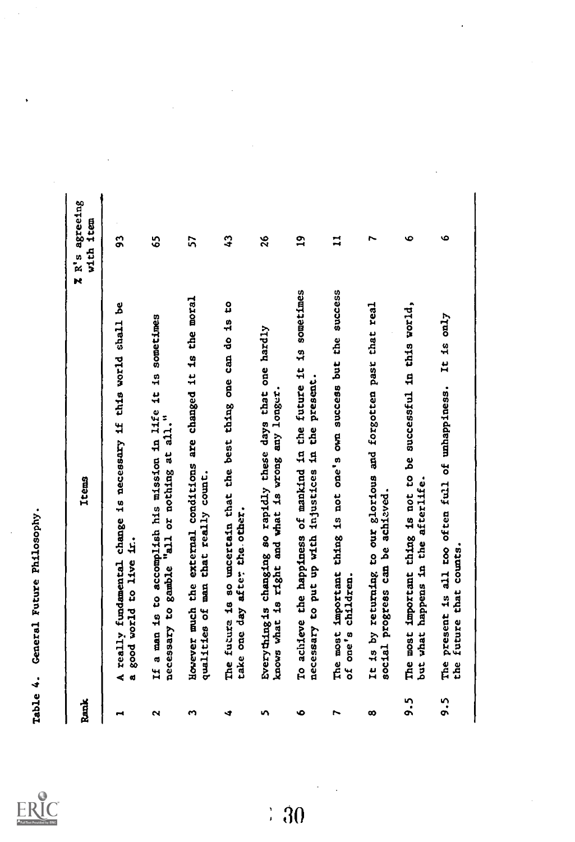ERIC

| Rank      | <b>Items</b>                                                                                                                | R's agreeing<br>ttem<br>with<br>$\overline{\bf k}$ |
|-----------|-----------------------------------------------------------------------------------------------------------------------------|----------------------------------------------------|
| ,         | A really fundamental change is necessary if this world shall be<br>good world to live in.<br>ø                              | 3                                                  |
| N         | If a man is to accomplish his mission in life it is sometimes<br>necessary to gamble "all or nothing at all."               | Ś,                                                 |
| S         | However much the external conditions are changed it is the moral<br>qualities of man that really count.                     | 57                                                 |
| 4         | 9<br>The future is so uncertain that the best thing one can do is<br>take one day after the other.                          | $\boldsymbol{\mathcal{L}}$                         |
| <b>In</b> | Everything is changing so rapidly these days that one hardly<br>knows what is right and what is wrong any longer            | 26                                                 |
| ۰         | To achieve the happiness of mankind in the future it is sometimes<br>present.<br>necessary to put up with injustices in the | $\mathbf{a}$                                       |
| N         | The most important thing is not one's own success but the success<br>of one's children.                                     | $\mathbf{I}$                                       |
| တ         | It is by returning to our glorious and forgotten past that real<br>social progress can be achieved.                         | N                                                  |
| <u>ຸ</u>  | The most important thing is not to be successful in this world,<br>what happens in the afterlife.<br>ر<br>نالا              | Ó                                                  |
| ი<br>ა    | It is $\text{cal}$<br>The present is all too often full of unhappiness.<br>future that counts.<br>the                       | Ó                                                  |

 $\div 30$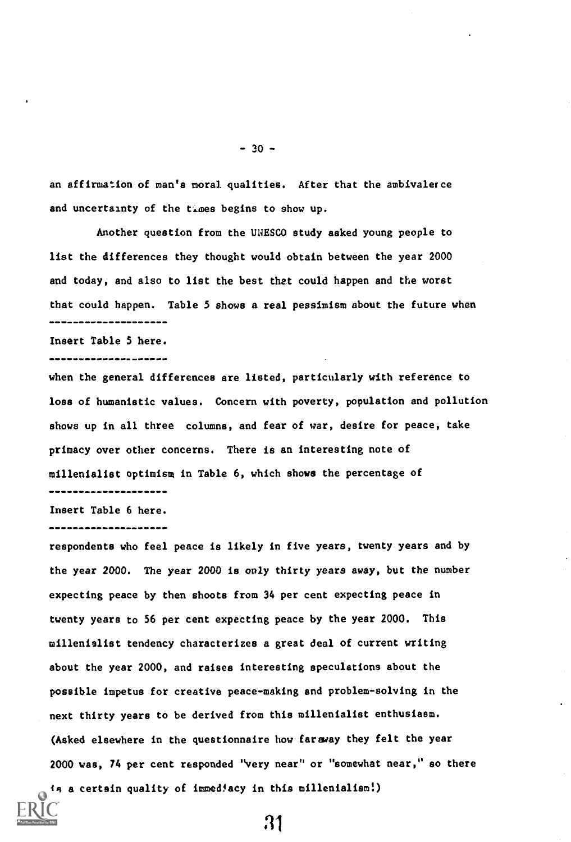an affirmation of man's moral qualities. After that the ambivalerce and uncertainty of the times begins to show up.

Another question from the UNESCO study asked young people to list the differences they thought would obtain between the year 2000 and today, and also to list the best that could happen and the worst that could happen. Table 5 shows a real pessimism about the future when ---------------------

#### Insert Table S here.

#### --------------------

when the general differences are listed, particularly with reference to loss of humanistic values. Concern with poverty, population and pollution shows up in all three columns, and fear of war, desire for peace, take primacy over other concerns. There is an interesting note of millenialist optimism in Table 6, which shows the percentage of ---------------------

### Insert Table 6 here.

#### -------------------

respondents who feel peace is likely in five years, twenty years and by the year 2000. The year 2000 is only thirty years away, but the number expecting peace by then shoots from 34 per cent expecting peace in twenty years to 56 per cent expecting peace by the year 2000. This millenialist tendency characterizes a great deal of current writing about the year 2000, and raises interesting speculations about the possible impetus for creative peace-making and problem-solving in the next thirty years to be derived from this millenialist enthusiasm. (Asked elsewhere in the questionnaire how faraway they felt the year 2000 was, 74 per cent responded "very near" or "somewhat near," so there is a certain quality of immediacy in this millenialism!)



21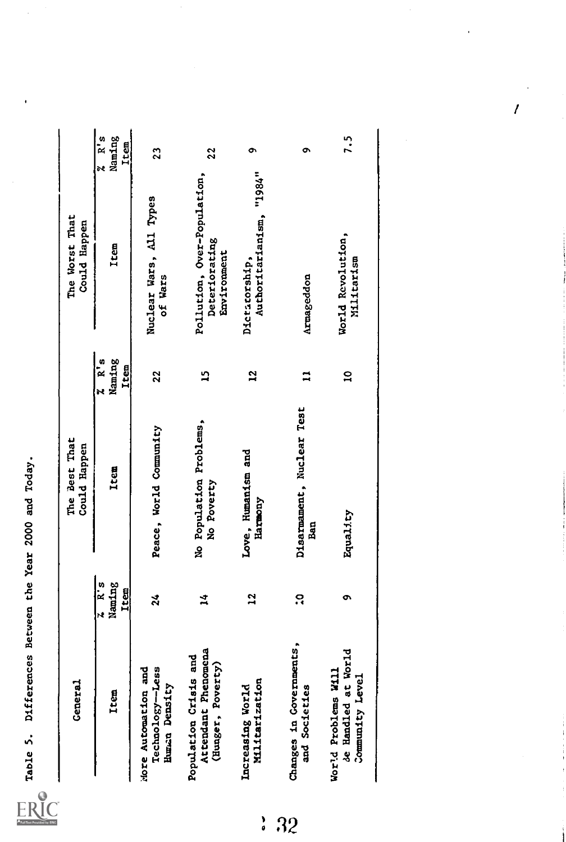| <b>Ceneral</b>                                                     |                                     | The Best That<br>Could Happen         |                         | The Worst That<br>Could Happen                              |                                 |
|--------------------------------------------------------------------|-------------------------------------|---------------------------------------|-------------------------|-------------------------------------------------------------|---------------------------------|
| Item                                                               | Naming<br>$\overline{R}$ is<br>Item | Item                                  | Naming<br>2 R s<br>Item | Item                                                        | R's<br>Naming<br>Item<br>r<br>K |
| Technology-Less<br>More Automation and<br>Human Density            | $\boldsymbol{z}$                    | Peace, World Community                | 22                      | Nuclear Wars, All Types<br>of Wars                          | 23                              |
| Attendant Phenomena<br>Population Crisis and<br>(Hunger, Poverty)  | $\frac{1}{4}$                       | No Population Problems,<br>No Poverty | 2                       | Pollution, Over-Population,<br>Deteriorating<br>Environment | 22                              |
| <b>Miltarization</b><br>Increasing World                           | $\overline{12}$                     | Love, Humanism and<br>Harmony         | $\mathbf{5}$            | Authoritarianism, "1984"<br>Dictatorship,                   | ò                               |
| Changes in Governments,<br>and Societies                           | ă                                   | Disarmament, Nuclear Test<br>Ban      | ∺                       | Armageddon                                                  | σ                               |
| ್ತ<br>de Handled at Worl<br>World Problems Will<br>Community Level | ō                                   | Equality                              | $\mathbf{a}$            | World Revolution,<br>Miltarism                              | 7.5                             |

 $32$ 

 $\overline{I}$ 

 $\overline{1}$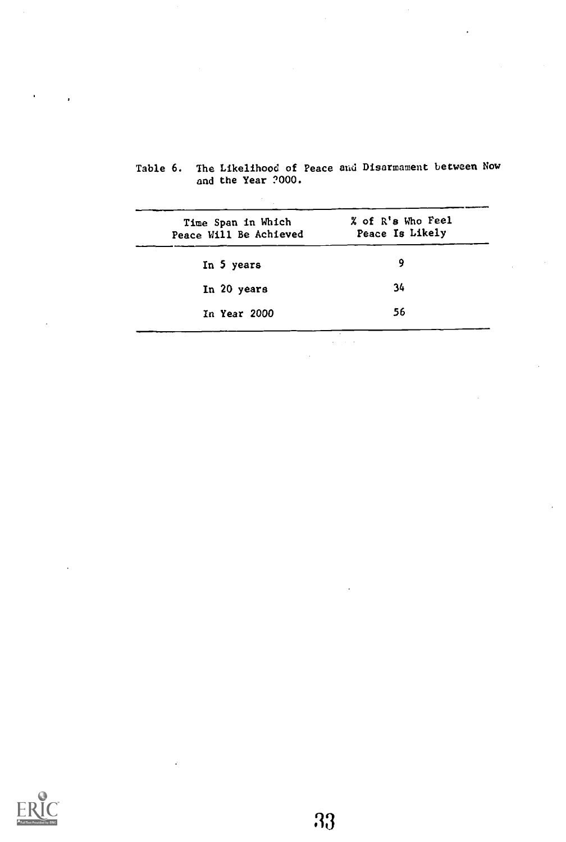| Time Span in Which<br>Peace Will Be Achieved | % of R's Who Feel<br>Peace Is Likely |
|----------------------------------------------|--------------------------------------|
| In 5 years                                   | 9                                    |
| In 20 years                                  | 34                                   |
| In Year 2000                                 | 56                                   |

 $\varphi = \varphi/\varphi$ 

| Table 6. The Likelihood of Peace and Disarmament between Now |  |
|--------------------------------------------------------------|--|
| and the Year ?000.                                           |  |

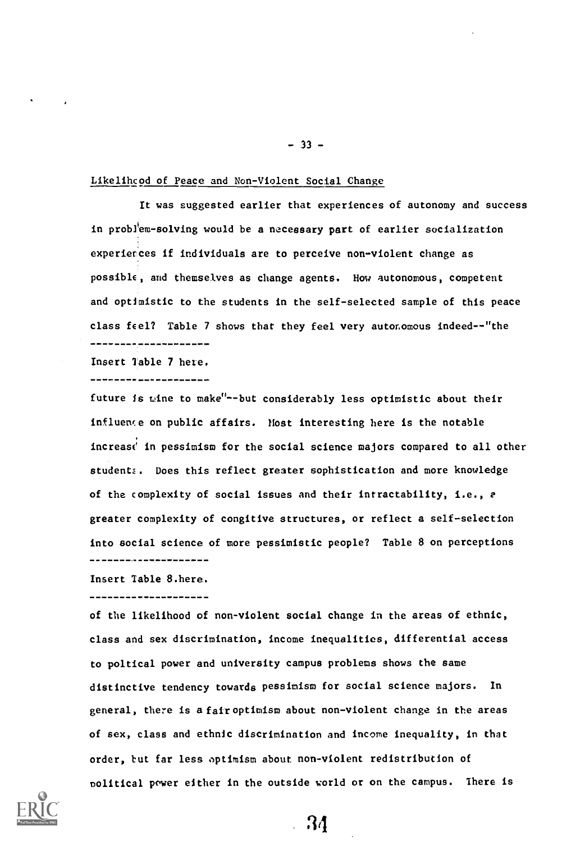## Likelihood of Peace and Non-Violent Social Change

It was suggested earlier that experiences of autonomy and success in problem- solving would be a necessary part of earlier socialization experierces if individuals are to perceive non-violent change as possible, and themselves as change agents. How autonomous, competent and optimistic to the students in the self-selected sample of this peace class feel? Table 7 shows that they feel very autonomous indeed--"the -----*------------*

Insert Table 7 here.

---------------------

future is mine to make"--but considerably less optimistic about their influeme on public affairs. Host interesting here is the notable increase in pessimism for the social science majors compared to all other student:. Does this reflect greater sophistication and more knowledge of the complexity of social issues and their intractability, i.e., e greater complexity of congitive structures, or reflect a self-selection into social science of more pessimistic people? Table 8 on perceptions --------------------

Insert Table 8.here.

of the likelihood of non-violent social change in the areas of ethnic, class and sex discrimination, income inequalities, differential access to poltical power and university campus problems shows the same distinctive tendency towards pessimism for social science majors. In general, there is a fair optimism about non-violent change in the areas of sex, class and ethnic discrimination and income inequality, in that order, but far less optimism about non-violent redistribution of nolitical power either in the outside world or on the campus. There is



34

 $- 33 -$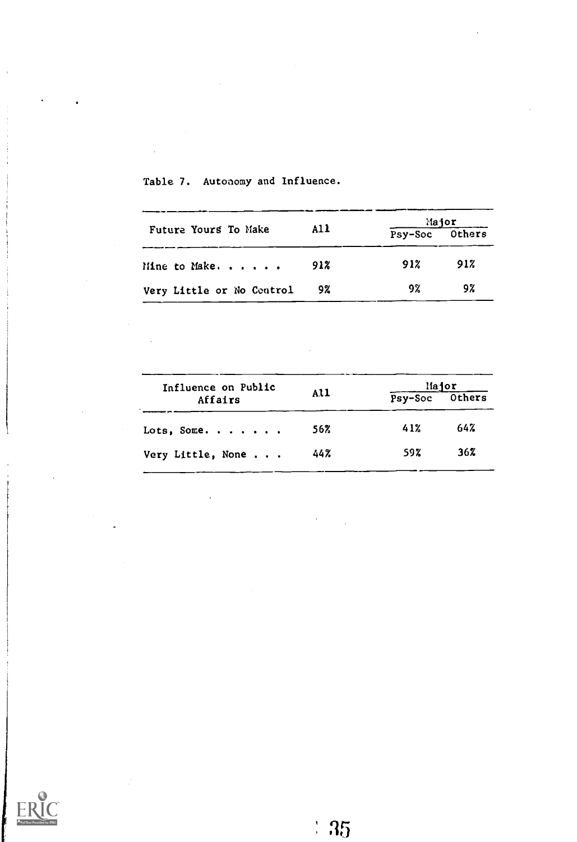|                           | A11 |                | Major |
|---------------------------|-----|----------------|-------|
| Future Yours To Make      |     | Psy-Soc Others |       |
| Mine to Make. $\ldots$    | 91% | 91%            | 91%   |
| Very Little or No Control | 9%  | 92             | 9%    |

Table 7. Autonomy and Influence.

 $\overline{a}$ 

|     |     | Hajor          |  |
|-----|-----|----------------|--|
|     |     |                |  |
| 56% | 41% | 64%            |  |
| 44% | 59% | 36%            |  |
|     | A11 | Psy-Soc Others |  |

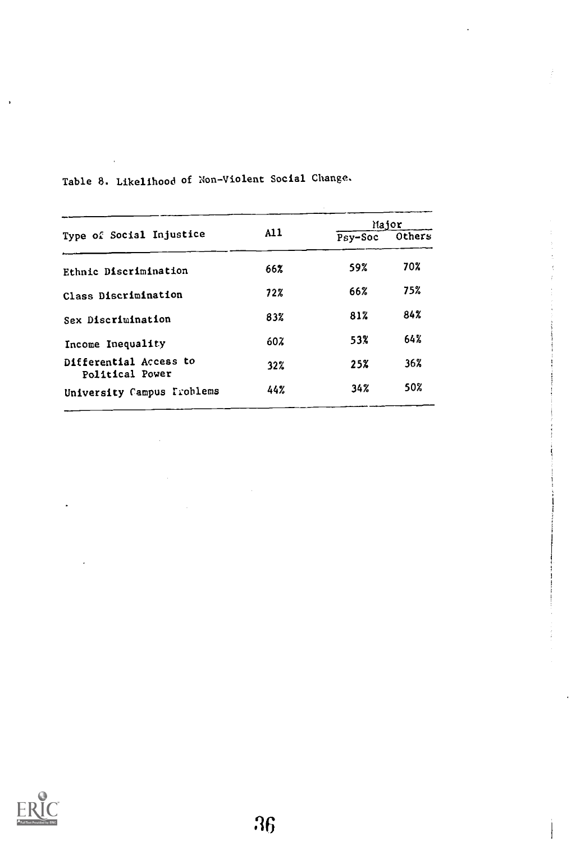|                                           |     |         | Major  |
|-------------------------------------------|-----|---------|--------|
| Type of Social Injustice                  | A11 | Psy-Soc | Others |
| Ethnic Discrimination                     | 66% | 59%     | 70%    |
| Class Discrimination                      | 72% | 66%     | 75%    |
| Sex Discrimination                        | 83% | 81%     | 84%    |
| Income Inequality                         | 60% | 53%     | 64%    |
| Differential Access to<br>Political Power | 32% | 25%     | 36%    |
| University Campus Frohlems                | 44% | 34%     | 50%    |
|                                           |     |         |        |

Table 8. Likelihood of Non-Violent Social Change.



 $\cdot$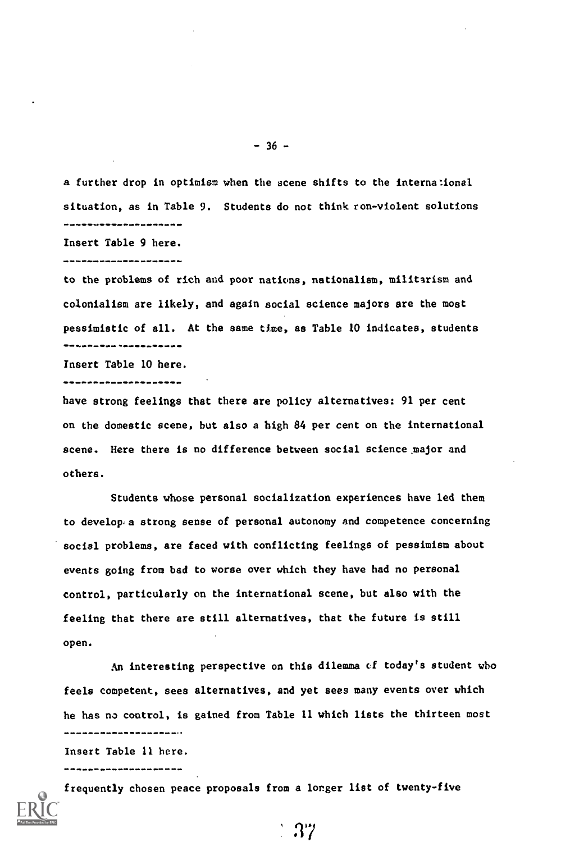a further drop in optimism when the scene shifts to the international situation, as in Table 9. Students do not think ron-violent solutions ---------------------Insert Table 9 here.

--------------------

to the problems of rich and poor nations, nationalism, militarism and colonialism are likely, and again social science majors are the most pessimistic of all. At the same time, as Table 10 indicates, students \*\*\*\*\*\*\*\*\*\*\*\*\*\*\*\*\*

Insert Table 10 here. --------------------

have strong feelings that there are policy alternatives: 91 per cent on the domestic scene, but also a high 84 per cent on the international scene. Here there is no difference between social science major and others.

Students whose personal socialization experiences have led them to develop a strong sense of personal autonomy and competence concerning social problems, are faced with conflicting feelings of pessimism about events going from bad to worse over which they have had no personal control, particularly on the international scene, but also with the feeling that there are still alternatives, that the future is still open.

An interesting perspective on this dilemma cf today's student who feels competent, sees alternatives, and yet sees many events over which he has no control, is gained from Table 11 which lists the thirteen most 

37

Insert Table 11 here. ---------------------

frequently chosen peace proposals from a lorger list of twenty-five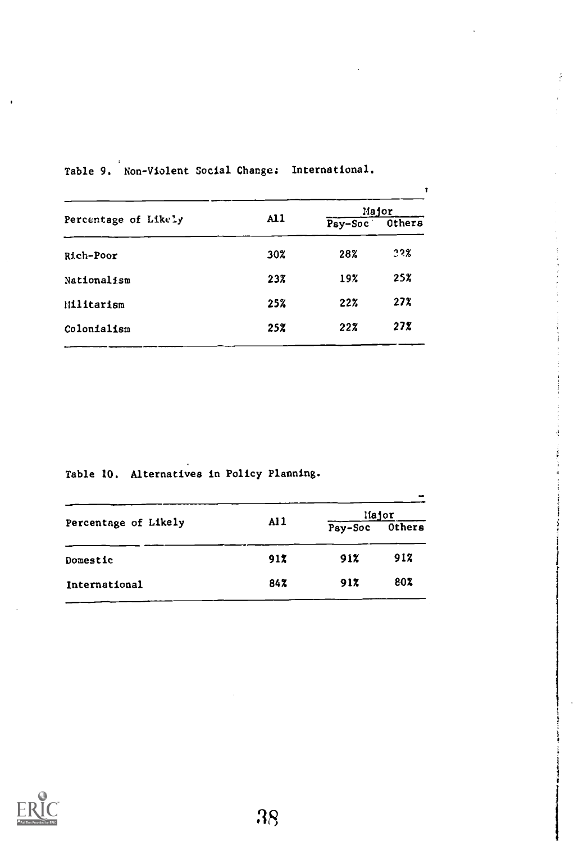|     |         | Major  |
|-----|---------|--------|
|     | Psy-Soc | Others |
| 30% | 28%     | 22%    |
| 23% | 19%     | 25%    |
| 25% | 22%     | 27%    |
| 25% | 22%     | 27%    |
|     | A11     |        |

f

 $\frac{1}{2}$  and the  $\frac{1}{2}$ 

Table 9. Non-Violent Social Change: International.

Table 10. Alternatives in Policy Planning.

|                      |     |                | liajor |
|----------------------|-----|----------------|--------|
| Percentage of Likely | A11 | Pay-Soc Others |        |
| Domestic             | 91X | 912            | 917    |
| International        | 84% | 91%            | 80%    |

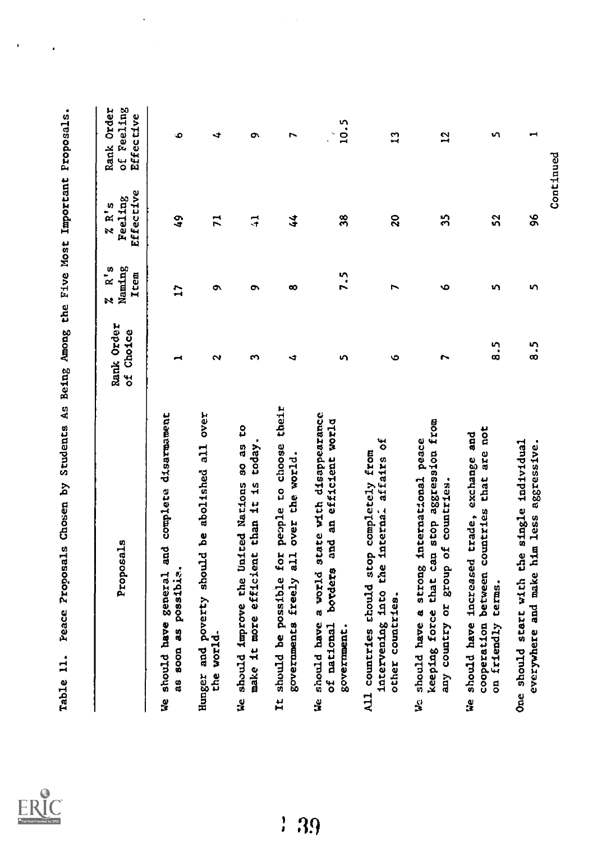| Full Text Provided by ERIC |
|----------------------------|

ł,

 $\cdot$ 

 $\ddot{\phantom{0}}$ 

| Ò<br>œ<br>ō<br>$\overline{1}$<br>c<br>N<br>∢<br>⊣<br>It should be possible for people to choose their<br>Hunger and poverty should be abolished all over<br>We should have general and complete disarmament<br>We should improve the United Nations so as to<br>today.<br>governments freely all over the world.<br>make it more efficient than it is<br>as soon as possibie.<br>the world- | Effective<br>Feeling<br>$R^3$<br>.<br>پو | Rank Order<br>of Feeling<br><b>Effective</b> |
|---------------------------------------------------------------------------------------------------------------------------------------------------------------------------------------------------------------------------------------------------------------------------------------------------------------------------------------------------------------------------------------------|------------------------------------------|----------------------------------------------|
|                                                                                                                                                                                                                                                                                                                                                                                             | $\frac{1}{2}$                            | ۰                                            |
|                                                                                                                                                                                                                                                                                                                                                                                             | $\overline{r}$                           | ÷                                            |
|                                                                                                                                                                                                                                                                                                                                                                                             | $\vec{ }$                                | ò                                            |
|                                                                                                                                                                                                                                                                                                                                                                                             | 44                                       | Z                                            |
| 7.5<br>n<br>should have a world state with disappearance<br>of national borders and an efficient world<br>government.<br>g                                                                                                                                                                                                                                                                  | $\frac{8}{3}$                            | 10.5<br>$\mathcal{L}^{\mathcal{L}}$          |
| $\overline{ }$<br>$\circ$<br>intervening into the internal affairs of<br>All countries should stop completely from<br>other countries.                                                                                                                                                                                                                                                      | $\boldsymbol{\Omega}$                    | $\mathbf{r}$                                 |
| Ó<br>r<br>keeping force that can stop aggression from<br>should have a strong international peace<br>any country or group of countries.<br>Š                                                                                                                                                                                                                                                | 55                                       | 51                                           |
| ïη,<br>5<br>8<br>cooperation between countries that are not<br>should have increased trade, exchange and<br>on friendly terms.<br>e<br>3                                                                                                                                                                                                                                                    | 52                                       | vη.                                          |
| n<br>3.5<br>One should start with the single individual<br>everywhere and make him less aggressive.                                                                                                                                                                                                                                                                                         | 96                                       | ᆋ                                            |
|                                                                                                                                                                                                                                                                                                                                                                                             | Continued                                |                                              |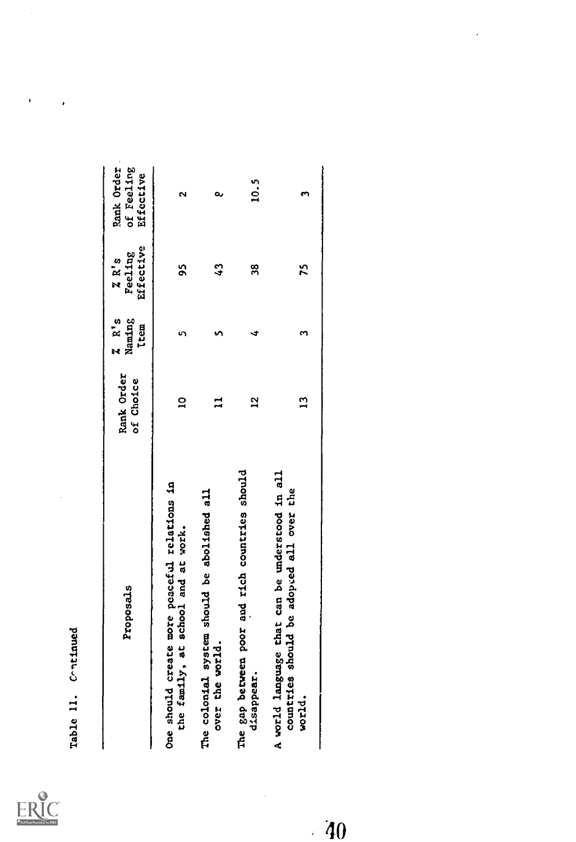| Full Text Provided by ERIC |
|----------------------------|

| Proposals                                                                                            | Rank Order<br>of Choice | $2 \times R$ <sup>1</sup> s<br>Naming<br><b>Item</b> | Effective<br><b>ZR's<br/>Feeling</b> | Rank Order<br>of Feeling<br>Effective |
|------------------------------------------------------------------------------------------------------|-------------------------|------------------------------------------------------|--------------------------------------|---------------------------------------|
| One should create more peaceful relations in<br>the family, at school and at work.                   | $\overline{a}$          |                                                      | S                                    |                                       |
| The colonial system should be abolished all<br>over the world.                                       |                         |                                                      | $\frac{3}{4}$                        | a                                     |
| The gap between poor and rich countries should<br>disappear.                                         | 52                      |                                                      | 38                                   | 10.5                                  |
| A world language that can be understood in all<br>countries should be adopted all over the<br>world. | $\mathbf{r}$            |                                                      | 25                                   |                                       |
|                                                                                                      |                         |                                                      |                                      |                                       |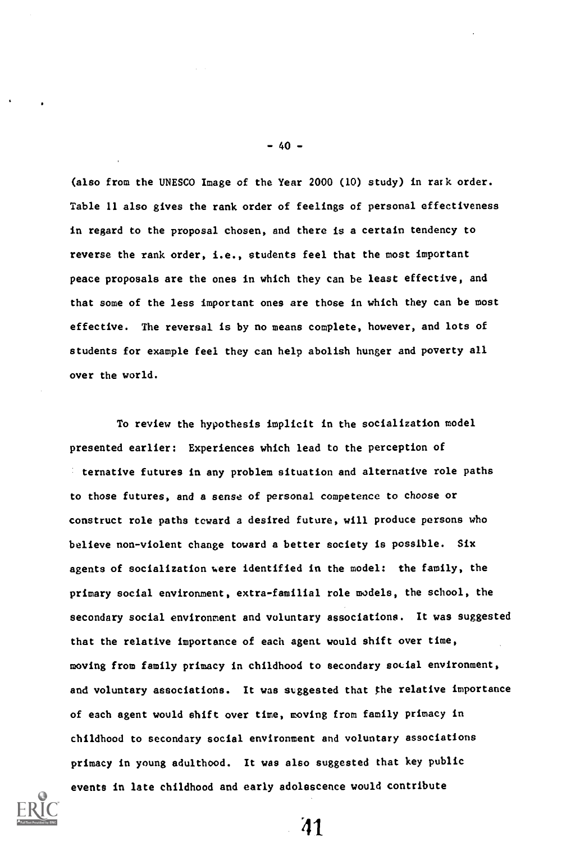(also from the UNESCO Image of the Year 2000 (10) study) in rark order. Table 11 also gives the rank order of feelings of personal effectiveness in regard to the proposal chosen, and there is a certain tendency to reverse the rank order, i.e., students feel that the most important peace proposals are the ones in which they can be least effective, and that some of the less important ones are those in which they can be most effective. The reversal is by no means complete, however, and lots of students for example feel they can help abolish hunger and poverty all over the world.

To review the hypothesis implicit in the socialization model presented earlier: Experiences which lead to the perception of ternative futures in any problem situation and alternative role paths to those futures, and a sense of personal competence to choose or construct role paths toward a desired future, will produce persons who believe non-violent change toward a better society is possible. Six agents of socialization were identified in the model: the family, the primary social environment, extra-familial role models, the school, the secondary social environment and voluntary associations. It was suggested that the relative importance of each agent would shift over time, moving from family primacy in childhood to secondary social environment, and voluntary associations. It was suggested that the relative importance of each agent would shift over time, moving from family primacy in childhood to secondary social environment and voluntary associations primacy in young adulthood. It was also suggested that key public events in late childhood and early adolescence would contribute



-40-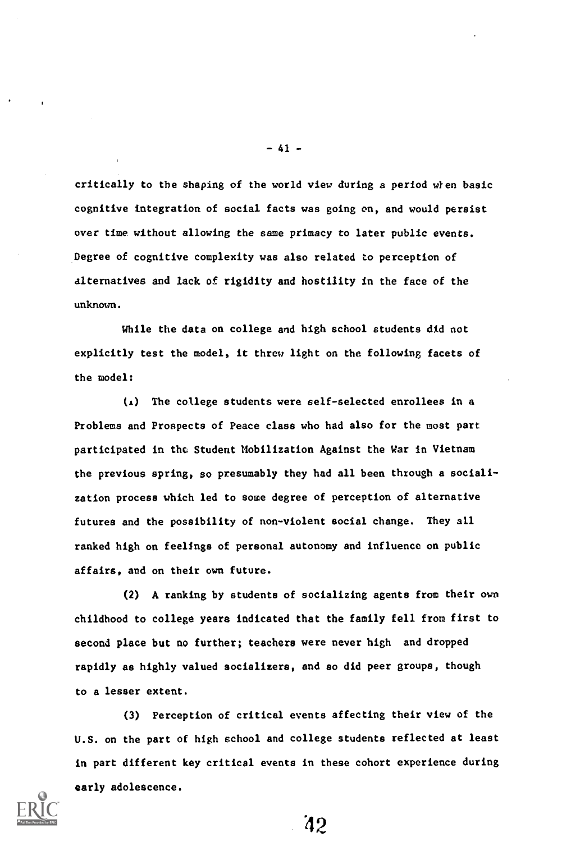critically to the shaping of the world view during a period when basic cognitive integration of social facts was going on, and would persist over time without allowing the same primacy to later public events. Degree of cognitive complexity was also related to perception of alternatives and lack of rigidity and hostility in the face of the unknown.

While the data on college and high school students did not explicitly test the model, it threw light on the following facets of the model:

(L) The college students were self-selected enrollees in a Problems and Prospects of Peace class who had also for the most part participated in the Student Mobilization Against the War in Vietnam the previous spring, so presumably they had all been through a socialization process which led to some degree of perception of alternative futures and the possibility of non-violent social change. They all ranked high on feelings of personal autonomy and influence on public affairs, and on their own future.

(2) A ranking by students of socializing agents from their own childhood to college years indicated that the family fell from first to second place but no further; teachers were never high and dropped rapidly as highly valued socializers, and so did peer groups, though to a lesser extent.

(3) Perception of critical events affecting their view of the U.S. on the part of high school and college students reflected at least in part different key critical events in these cohort experience during early adolescence.



 $-41 -$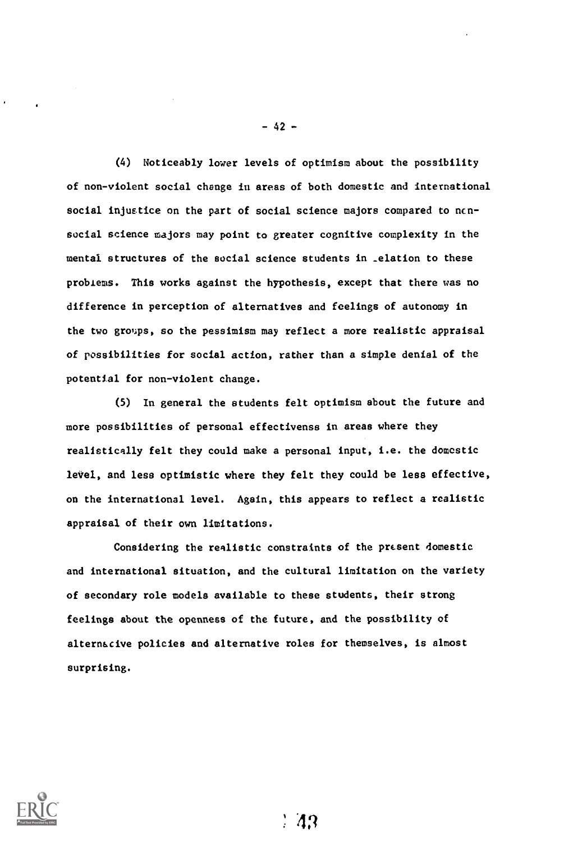(4) Noticeably lower levels of optimism about the possibility of non-violent social change in areas of both domestic and international social injustice on the part of social science majors compared to ncnsocial science majors may point to greater cognitive complexity in the mental structures of the social science students in \_elation to these problems. This works against the hypothesis, except that there was no difference in perception of alternatives and feelings of autonomy in the two groups, so the pessimism may reflect a more realistic appraisal of possibilities for social action, rather than a simple denial of the potential for non-violent change.

(5) In general the students felt optimism about the future and more possibilities of personal effectivenss in areas where they realistically felt they could make a personal input, i.e. the domestic level, and less optimistic where they felt they could be less effective, on the international level. Again, this appears to reflect a realistic appraisal of their own limitations.

Considering the realistic constraints of the present domestic and international situation, and the cultural limitation on the variety of secondary role models available to these students, their strong feelings about the openness of the future, and the possibility of altern&cive policies and alternative roles for themselves, is almost surprising.



-42-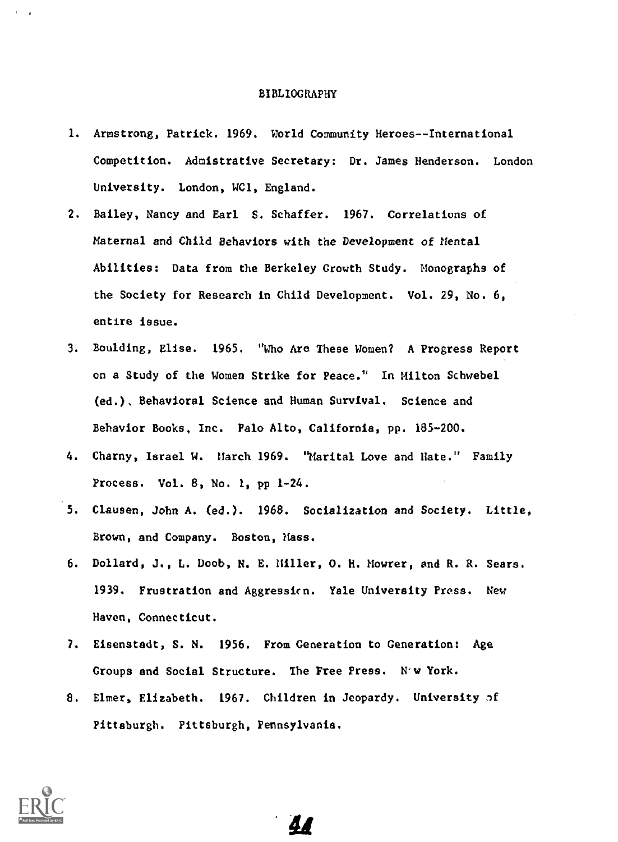#### BIBLIOGRAPHY

- 1. Armstrong, Patrick. 1969. World Community Heroes--International Competition. Admistrative Secretary: Dr. James Henderson. London University. London, WC1, England.
- 2. Bailey, Nancy and Earl S. Schaffer. 1967. Correlations of Maternal and Child Behaviors with the Development of Mental Abilities: Data from the Berkeley Growth Study. Monographs of the Society for Research in Child Development. Vol. 29, No. 6, entire issue.
- 3. Boulding, Elise. 1965. "Who Are These Women? A Progress Report on a Study of the Women Strike for Peace." In Milton Schwebel (ed.). Behavioral Science and Human Survival. Science and Behavior Books. Inc. Palo Alto, California, pp. 185-200.
- 4. Charny, Israel W. March 1969. "Marital Love and Hate." Family Process. Vol. 8, No. 1, pp 1-24.
- 5. Clausen, John A. (ed.). 1968. Socialization and Society. Little, Brown, and Company. Boston, Mass.
- 6. Dollard, J., L. Doob, N. E. Miller, O. H. Mowrer, and R. R. Sears. 1939. Frustration and Aggressicn. Yale University Press. New Haven, Connecticut.
- 7. Eisenstadt, S. N. 1956. From Generation to Generation: Age Groups and Social Structure. The Free Press. N'w York.
- 8. Elmer, Elizabeth. 1967. Children in Jeopardy. University of Pittsburgh. Pittsburgh, Pennsylvania.

4'

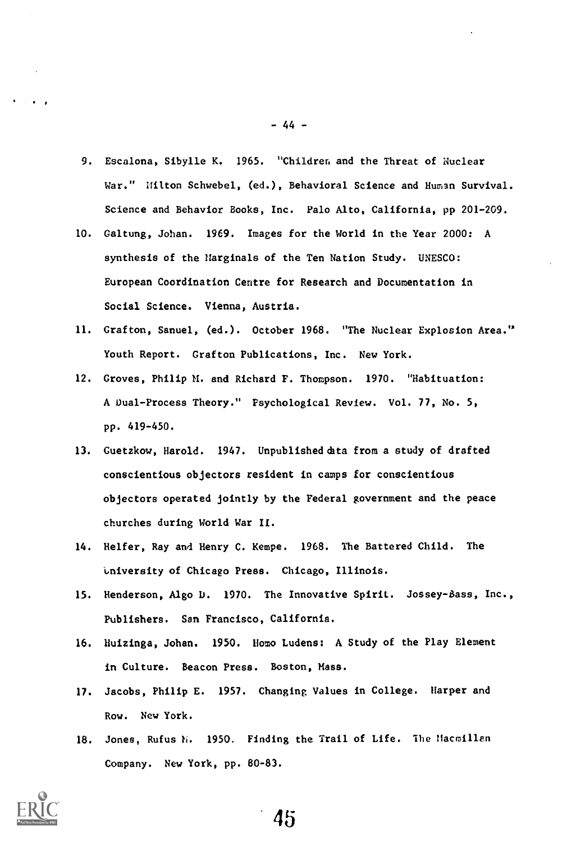- 9. Escalona, Sibylle K. 1965. "Children and the Threat of Nuclear War." Hilton Schwebel, (ed.), Behavioral Science and Human Survival. Science and Behavior Books, Inc. Palo Alto, California, pp 201-209.
- 10. Galtung, Johan. 1969. Images for the World in the Year 2000: A synthesis of the Harginals of the Ten Nation Study. UNESCO: European Coordination Centre for Research and Documentation in Social Science. Vienna, Austria.
- 11. Grafton, Sanuel, (ed.). October 1968. "The Nuclear Explosion Area." Youth Report. Grafton Publications, Inc. New York.
- 12. Groves, Philip M. and Richard F. Thompson. 1970. "Habituation: A Dual-Process Theory." Psychological Review. Vol. 77, No. 5, pp. 419-450.
- 13. Guetzkow, Harold. 1947. Unpublished data from a study of drafted conscientious objectors resident in camps for conscientious objectors operated jointly by the Federal government and the peace churches during World War II.
- 14. Helfer, Ray and Henry C. Kempe. 1968. The Battered Child. The university of Chicago Press. Chicago, Illinois.
- 15. Henderson, Algo D. 1970. The Innovative Spirit. Jossey-Bass, Inc., Publishers. San Francisco, California.
- 16. Huizinga, Johan. 1950. Homo Ludens: A Study of the Play Element in Culture. Beacon Press. Boston, Mass.
- 17. Jacobs, Philip E. 1957. Changing Values in College. Harper and Row. New York.
- 18. Jones, Rufus h. 1950. Finding the Trail of Life. The Hacmillen Company. New York, pp. 80-83.



-44-

45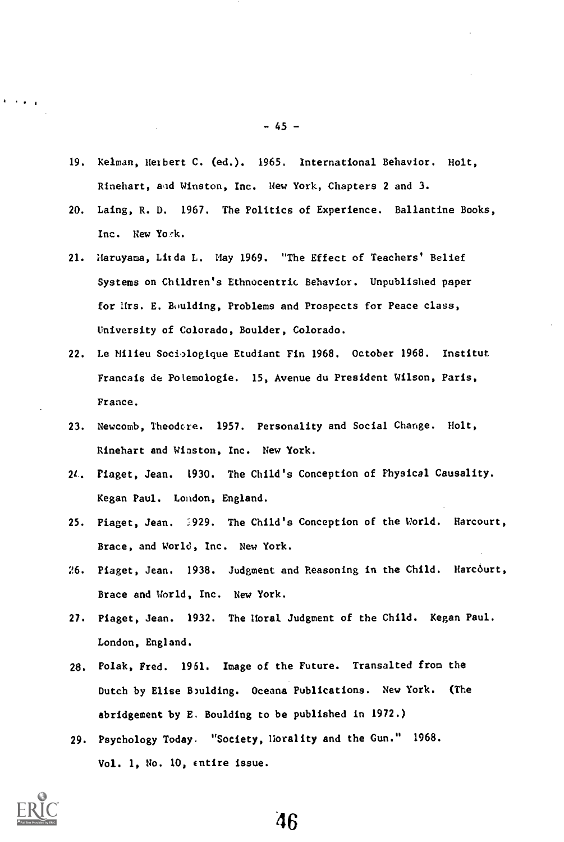- 19. Kelman, Herbert C. (ed.). 1965. International Behavior. Holt, Rinehart, and Winston, Inc. New York, Chapters 2 and 3.
- 20. Laing, R. D. 1967. The Politics of Experience. Ballantine Books, Inc. New Yoek.
- 21. Maruyama, Lirda L. May 1969. "The Effect of Teachers' Belief Systems on Children's Ethnocentric Behavior. Unpublished paper for Hrs. E. Boulding, Problems and Prospects for Peace class, University of Colorado, Boulder, Colorado.
- 22. Le Milieu Sociologique Etudiant Fin 1968. October 1968. Institut Francais de Potemologie. 15, Avenue du President Wilson, Paris, France.
- 23. Newcomb, Theodore. 1957. Personality and Social Change. Holt, Rinehart and Winston, Inc. New York.
- 21. Piaget, Jean. 1930. The Child's Conception of Physical Causality. Kegan Paul. London, England.
- 25. Piaget, Jean. :929. The Child's Conception of the World. Harcourt, Brace, and World, Inc. New York.
- 26. Piaget, Jean. 1938. Judgment and Reasoning in the Child. Harcourt, Brace and World, Inc. New York.
- 27. Piaget, Jean. 1932. The Moral Judgment of the Child. Kegan Paul. London, England.
- 28. Polak, Fred. 1961. Image of the Future. Transalted from the Dutch by Elise Boulding. Oceans Publications. New York. (The abridgement by E. Boulding to be published in 1972.)
- 29. Psychology Today. "Society, Morality and the Gun." 1968. Vol. 1, No. 10, Entire issue.



 $\sim 100$ 

-45-

46